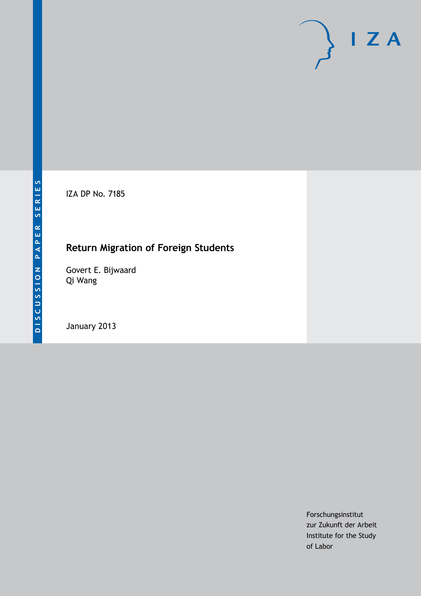IZA DP No. 7185

## **Return Migration of Foreign Students**

Govert E. Bijwaard Qi Wang

January 2013

Forschungsinstitut zur Zukunft der Arbeit Institute for the Study of Labor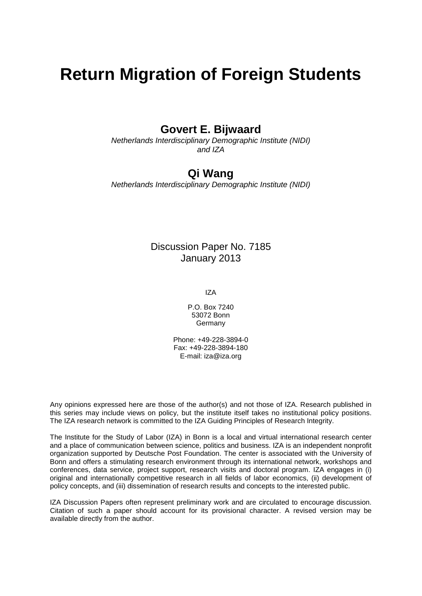# **Return Migration of Foreign Students**

### **Govert E. Bijwaard**

*Netherlands Interdisciplinary Demographic Institute (NIDI) and IZA*

### **Qi Wang**

*Netherlands Interdisciplinary Demographic Institute (NIDI)*

#### Discussion Paper No. 7185 January 2013

IZA

P.O. Box 7240 53072 Bonn Germany

Phone: +49-228-3894-0 Fax: +49-228-3894-180 E-mail: [iza@iza.org](mailto:iza@iza.org)

Any opinions expressed here are those of the author(s) and not those of IZA. Research published in this series may include views on policy, but the institute itself takes no institutional policy positions. The IZA research network is committed to the IZA Guiding Principles of Research Integrity.

The Institute for the Study of Labor (IZA) in Bonn is a local and virtual international research center and a place of communication between science, politics and business. IZA is an independent nonprofit organization supported by Deutsche Post Foundation. The center is associated with the University of Bonn and offers a stimulating research environment through its international network, workshops and conferences, data service, project support, research visits and doctoral program. IZA engages in (i) original and internationally competitive research in all fields of labor economics, (ii) development of policy concepts, and (iii) dissemination of research results and concepts to the interested public.

<span id="page-1-0"></span>IZA Discussion Papers often represent preliminary work and are circulated to encourage discussion. Citation of such a paper should account for its provisional character. A revised version may be available directly from the author.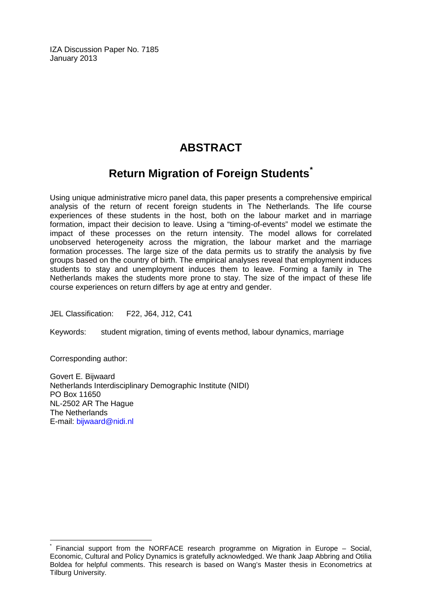IZA Discussion Paper No. 7185 January 2013

## **ABSTRACT**

## **Return Migration of Foreign Students[\\*](#page-1-0)**

Using unique administrative micro panel data, this paper presents a comprehensive empirical analysis of the return of recent foreign students in The Netherlands. The life course experiences of these students in the host, both on the labour market and in marriage formation, impact their decision to leave. Using a "timing-of-events" model we estimate the impact of these processes on the return intensity. The model allows for correlated unobserved heterogeneity across the migration, the labour market and the marriage formation processes. The large size of the data permits us to stratify the analysis by five groups based on the country of birth. The empirical analyses reveal that employment induces students to stay and unemployment induces them to leave. Forming a family in The Netherlands makes the students more prone to stay. The size of the impact of these life course experiences on return differs by age at entry and gender.

JEL Classification: F22, J64, J12, C41

Keywords: student migration, timing of events method, labour dynamics, marriage

Corresponding author:

Govert E. Bijwaard Netherlands Interdisciplinary Demographic Institute (NIDI) PO Box 11650 NL-2502 AR The Hague The Netherlands E-mail: [bijwaard@nidi.nl](mailto:bijwaard@nidi.nl)

Financial support from the NORFACE research programme on Migration in Europe – Social, Economic, Cultural and Policy Dynamics is gratefully acknowledged. We thank Jaap Abbring and Otilia Boldea for helpful comments. This research is based on Wang's Master thesis in Econometrics at Tilburg University.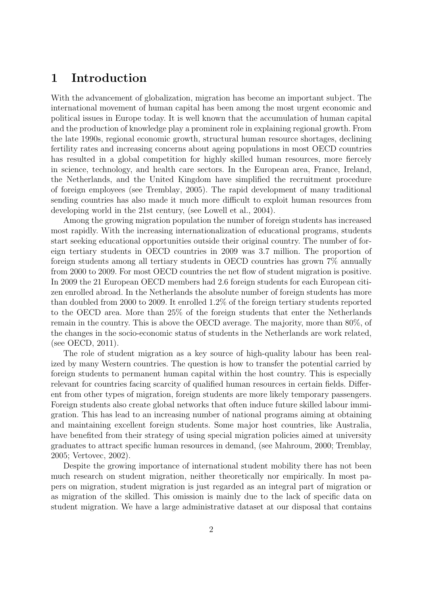## **1 Introduction**

With the advancement of globalization, migration has become an important subject. The international movement of human capital has been among the most urgent economic and political issues in Europe today. It is well known that the accumulation of human capital and the production of knowledge play a prominent role in explaining regional growth. From the late 1990s, regional economic growth, structural human resource shortages, declining fertility rates and increasing concerns about ageing populations in most OECD countries has resulted in a global competition for highly skilled human resources, more fiercely in science, technology, and health care sectors. In the European area, France, Ireland, the Netherlands, and the United Kingdom have simplified the recruitment procedure of foreign employees (see Tremblay, 2005). The rapid development of many traditional sending countries has also made it much more difficult to exploit human resources from developing world in the 21st century, (see Lowell et al., 2004).

Among the growing migration population the number of foreign students has increased most rapidly. With the increasing internationalization of educational programs, students start seeking educational opportunities outside their original country. The number of foreign tertiary students in OECD countries in 2009 was 3.7 million. The proportion of foreign students among all tertiary students in OECD countries has grown 7% annually from 2000 to 2009. For most OECD countries the net flow of student migration is positive. In 2009 the 21 European OECD members had 2.6 foreign students for each European citizen enrolled abroad. In the Netherlands the absolute number of foreign students has more than doubled from 2000 to 2009. It enrolled 1.2% of the foreign tertiary students reported to the OECD area. More than 25% of the foreign students that enter the Netherlands remain in the country. This is above the OECD average. The majority, more than 80%, of the changes in the socio-economic status of students in the Netherlands are work related, (see OECD, 2011).

The role of student migration as a key source of high-quality labour has been realized by many Western countries. The question is how to transfer the potential carried by foreign students to permanent human capital within the host country. This is especially relevant for countries facing scarcity of qualified human resources in certain fields. Different from other types of migration, foreign students are more likely temporary passengers. Foreign students also create global networks that often induce future skilled labour immigration. This has lead to an increasing number of national programs aiming at obtaining and maintaining excellent foreign students. Some major host countries, like Australia, have benefited from their strategy of using special migration policies aimed at university graduates to attract specific human resources in demand, (see Mahroum, 2000; Tremblay, 2005; Vertovec, 2002).

Despite the growing importance of international student mobility there has not been much research on student migration, neither theoretically nor empirically. In most papers on migration, student migration is just regarded as an integral part of migration or as migration of the skilled. This omission is mainly due to the lack of specific data on student migration. We have a large administrative dataset at our disposal that contains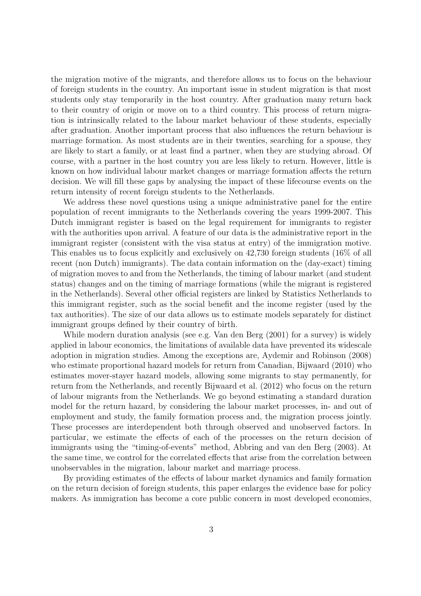the migration motive of the migrants, and therefore allows us to focus on the behaviour of foreign students in the country. An important issue in student migration is that most students only stay temporarily in the host country. After graduation many return back to their country of origin or move on to a third country. This process of return migration is intrinsically related to the labour market behaviour of these students, especially after graduation. Another important process that also influences the return behaviour is marriage formation. As most students are in their twenties, searching for a spouse, they are likely to start a family, or at least find a partner, when they are studying abroad. Of course, with a partner in the host country you are less likely to return. However, little is known on how individual labour market changes or marriage formation affects the return decision. We will fill these gaps by analysing the impact of these lifecourse events on the return intensity of recent foreign students to the Netherlands.

We address these novel questions using a unique administrative panel for the entire population of recent immigrants to the Netherlands covering the years 1999-2007. This Dutch immigrant register is based on the legal requirement for immigrants to register with the authorities upon arrival. A feature of our data is the administrative report in the immigrant register (consistent with the visa status at entry) of the immigration motive. This enables us to focus explicitly and exclusively on 42,730 foreign students (16% of all recent (non Dutch) immigrants). The data contain information on the (day-exact) timing of migration moves to and from the Netherlands, the timing of labour market (and student status) changes and on the timing of marriage formations (while the migrant is registered in the Netherlands). Several other official registers are linked by Statistics Netherlands to this immigrant register, such as the social benefit and the income register (used by the tax authorities). The size of our data allows us to estimate models separately for distinct immigrant groups defined by their country of birth.

While modern duration analysis (see e.g. Van den Berg (2001) for a survey) is widely applied in labour economics, the limitations of available data have prevented its widescale adoption in migration studies. Among the exceptions are, Aydemir and Robinson (2008) who estimate proportional hazard models for return from Canadian, Bijwaard (2010) who estimates mover-stayer hazard models, allowing some migrants to stay permanently, for return from the Netherlands, and recently Bijwaard et al. (2012) who focus on the return of labour migrants from the Netherlands. We go beyond estimating a standard duration model for the return hazard, by considering the labour market processes, in- and out of employment and study, the family formation process and, the migration process jointly. These processes are interdependent both through observed and unobserved factors. In particular, we estimate the effects of each of the processes on the return decision of immigrants using the "timing-of-events" method, Abbring and van den Berg (2003). At the same time, we control for the correlated effects that arise from the correlation between unobservables in the migration, labour market and marriage process.

By providing estimates of the effects of labour market dynamics and family formation on the return decision of foreign students, this paper enlarges the evidence base for policy makers. As immigration has become a core public concern in most developed economies,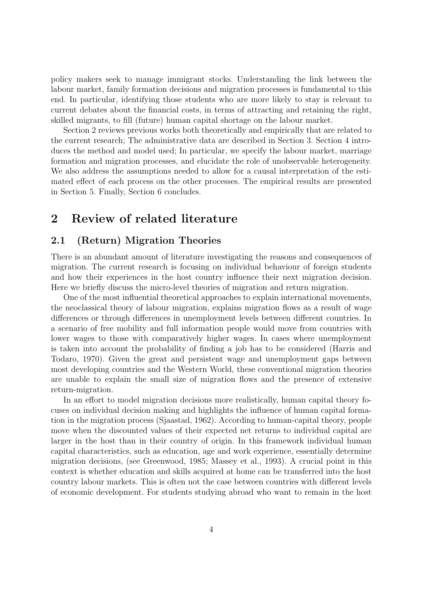policy makers seek to manage immigrant stocks. Understanding the link between the labour market, family formation decisions and migration processes is fundamental to this end. In particular, identifying those students who are more likely to stay is relevant to current debates about the financial costs, in terms of attracting and retaining the right, skilled migrants, to fill (future) human capital shortage on the labour market.

Section 2 reviews previous works both theoretically and empirically that are related to the current research; The administrative data are described in Section 3. Section 4 introduces the method and model used; In particular, we specify the labour market, marriage formation and migration processes, and elucidate the role of unobservable heterogeneity. We also address the assumptions needed to allow for a causal interpretation of the estimated effect of each process on the other processes. The empirical results are presented in Section 5. Finally, Section 6 concludes.

## **2 Review of related literature**

#### **2.1 (Return) Migration Theories**

There is an abundant amount of literature investigating the reasons and consequences of migration. The current research is focusing on individual behaviour of foreign students and how their experiences in the host country influence their next migration decision. Here we briefly discuss the micro-level theories of migration and return migration.

One of the most influential theoretical approaches to explain international movements, the neoclassical theory of labour migration, explains migration flows as a result of wage differences or through differences in unemployment levels between different countries. In a scenario of free mobility and full information people would move from countries with lower wages to those with comparatively higher wages. In cases where unemployment is taken into account the probability of finding a job has to be considered (Harris and Todaro, 1970). Given the great and persistent wage and unemployment gaps between most developing countries and the Western World, these conventional migration theories are unable to explain the small size of migration flows and the presence of extensive return-migration.

In an effort to model migration decisions more realistically, human capital theory focuses on individual decision making and highlights the influence of human capital formation in the migration process (Sjaastad, 1962). According to human-capital theory, people move when the discounted values of their expected net returns to individual capital are larger in the host than in their country of origin. In this framework individual human capital characteristics, such as education, age and work experience, essentially determine migration decisions, (see Greenwood, 1985; Massey et al., 1993). A crucial point in this context is whether education and skills acquired at home can be transferred into the host country labour markets. This is often not the case between countries with different levels of economic development. For students studying abroad who want to remain in the host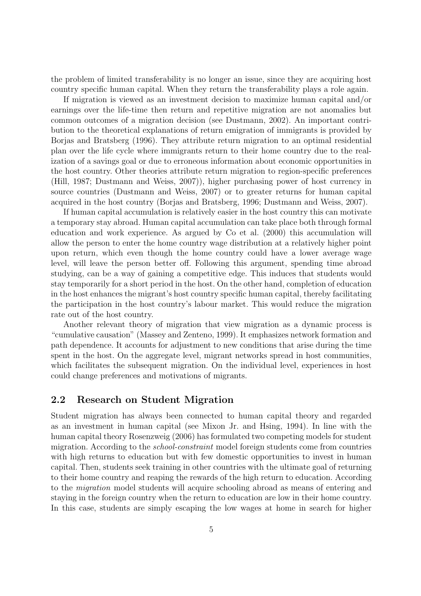the problem of limited transferability is no longer an issue, since they are acquiring host country specific human capital. When they return the transferability plays a role again.

If migration is viewed as an investment decision to maximize human capital and/or earnings over the life-time then return and repetitive migration are not anomalies but common outcomes of a migration decision (see Dustmann, 2002). An important contribution to the theoretical explanations of return emigration of immigrants is provided by Borjas and Bratsberg (1996). They attribute return migration to an optimal residential plan over the life cycle where immigrants return to their home country due to the realization of a savings goal or due to erroneous information about economic opportunities in the host country. Other theories attribute return migration to region-specific preferences (Hill, 1987; Dustmann and Weiss, 2007)), higher purchasing power of host currency in source countries (Dustmann and Weiss, 2007) or to greater returns for human capital acquired in the host country (Borjas and Bratsberg, 1996; Dustmann and Weiss, 2007).

If human capital accumulation is relatively easier in the host country this can motivate a temporary stay abroad. Human capital accumulation can take place both through formal education and work experience. As argued by Co et al. (2000) this accumulation will allow the person to enter the home country wage distribution at a relatively higher point upon return, which even though the home country could have a lower average wage level, will leave the person better off. Following this argument, spending time abroad studying, can be a way of gaining a competitive edge. This induces that students would stay temporarily for a short period in the host. On the other hand, completion of education in the host enhances the migrant's host country specific human capital, thereby facilitating the participation in the host country's labour market. This would reduce the migration rate out of the host country.

Another relevant theory of migration that view migration as a dynamic process is "cumulative causation" (Massey and Zenteno, 1999). It emphasizes network formation and path dependence. It accounts for adjustment to new conditions that arise during the time spent in the host. On the aggregate level, migrant networks spread in host communities, which facilitates the subsequent migration. On the individual level, experiences in host could change preferences and motivations of migrants.

#### **2.2 Research on Student Migration**

Student migration has always been connected to human capital theory and regarded as an investment in human capital (see Mixon Jr. and Hsing, 1994). In line with the human capital theory Rosenzweig (2006) has formulated two competing models for student migration. According to the *school-constraint* model foreign students come from countries with high returns to education but with few domestic opportunities to invest in human capital. Then, students seek training in other countries with the ultimate goal of returning to their home country and reaping the rewards of the high return to education. According to the *migration* model students will acquire schooling abroad as means of entering and staying in the foreign country when the return to education are low in their home country. In this case, students are simply escaping the low wages at home in search for higher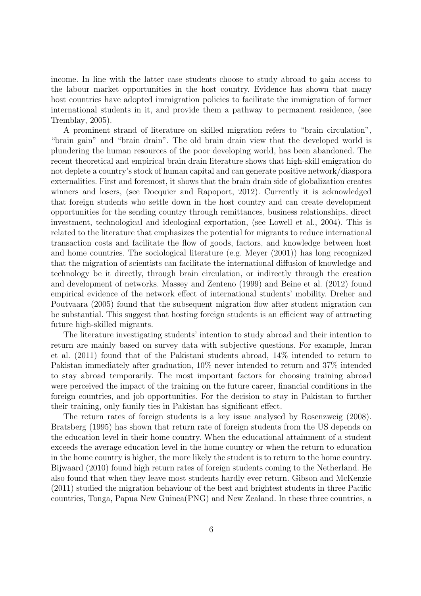income. In line with the latter case students choose to study abroad to gain access to the labour market opportunities in the host country. Evidence has shown that many host countries have adopted immigration policies to facilitate the immigration of former international students in it, and provide them a pathway to permanent residence, (see Tremblay, 2005).

A prominent strand of literature on skilled migration refers to "brain circulation", "brain gain" and "brain drain". The old brain drain view that the developed world is plundering the human resources of the poor developing world, has been abandoned. The recent theoretical and empirical brain drain literature shows that high-skill emigration do not deplete a country's stock of human capital and can generate positive network/diaspora externalities. First and foremost, it shows that the brain drain side of globalization creates winners and losers, (see Docquier and Rapoport, 2012). Currently it is acknowledged that foreign students who settle down in the host country and can create development opportunities for the sending country through remittances, business relationships, direct investment, technological and ideological exportation, (see Lowell et al., 2004). This is related to the literature that emphasizes the potential for migrants to reduce international transaction costs and facilitate the flow of goods, factors, and knowledge between host and home countries. The sociological literature (e.g. Meyer (2001)) has long recognized that the migration of scientists can facilitate the international diffusion of knowledge and technology be it directly, through brain circulation, or indirectly through the creation and development of networks. Massey and Zenteno (1999) and Beine et al. (2012) found empirical evidence of the network effect of international students' mobility. Dreher and Poutvaara (2005) found that the subsequent migration flow after student migration can be substantial. This suggest that hosting foreign students is an efficient way of attracting future high-skilled migrants.

The literature investigating students' intention to study abroad and their intention to return are mainly based on survey data with subjective questions. For example, Imran et al. (2011) found that of the Pakistani students abroad, 14% intended to return to Pakistan immediately after graduation, 10% never intended to return and 37% intended to stay abroad temporarily. The most important factors for choosing training abroad were perceived the impact of the training on the future career, financial conditions in the foreign countries, and job opportunities. For the decision to stay in Pakistan to further their training, only family ties in Pakistan has significant effect.

The return rates of foreign students is a key issue analysed by Rosenzweig (2008). Bratsberg (1995) has shown that return rate of foreign students from the US depends on the education level in their home country. When the educational attainment of a student exceeds the average education level in the home country or when the return to education in the home country is higher, the more likely the student is to return to the home country. Bijwaard (2010) found high return rates of foreign students coming to the Netherland. He also found that when they leave most students hardly ever return. Gibson and McKenzie (2011) studied the migration behaviour of the best and brightest students in three Pacific countries, Tonga, Papua New Guinea(PNG) and New Zealand. In these three countries, a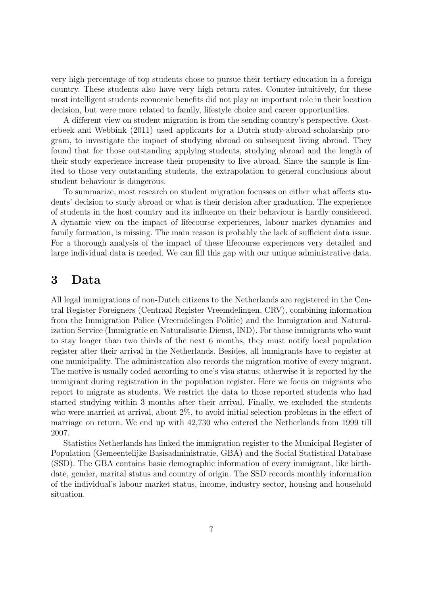very high percentage of top students chose to pursue their tertiary education in a foreign country. These students also have very high return rates. Counter-intuitively, for these most intelligent students economic benefits did not play an important role in their location decision, but were more related to family, lifestyle choice and career opportunities.

A different view on student migration is from the sending country's perspective. Oosterbeek and Webbink (2011) used applicants for a Dutch study-abroad-scholarship program, to investigate the impact of studying abroad on subsequent living abroad. They found that for those outstanding applying students, studying abroad and the length of their study experience increase their propensity to live abroad. Since the sample is limited to those very outstanding students, the extrapolation to general conclusions about student behaviour is dangerous.

To summarize, most research on student migration focusses on either what affects students' decision to study abroad or what is their decision after graduation. The experience of students in the host country and its influence on their behaviour is hardly considered. A dynamic view on the impact of lifecourse experiences, labour market dynamics and family formation, is missing. The main reason is probably the lack of sufficient data issue. For a thorough analysis of the impact of these lifecourse experiences very detailed and large individual data is needed. We can fill this gap with our unique administrative data.

## **3 Data**

All legal immigrations of non-Dutch citizens to the Netherlands are registered in the Central Register Foreigners (Centraal Register Vreemdelingen, CRV), combining information from the Immigration Police (Vreemdelingen Politie) and the Immigration and Naturalization Service (Immigratie en Naturalisatie Dienst, IND). For those immigrants who want to stay longer than two thirds of the next 6 months, they must notify local population register after their arrival in the Netherlands. Besides, all immigrants have to register at one municipality. The administration also records the migration motive of every migrant. The motive is usually coded according to one's visa status; otherwise it is reported by the immigrant during registration in the population register. Here we focus on migrants who report to migrate as students. We restrict the data to those reported students who had started studying within 3 months after their arrival. Finally, we excluded the students who were married at arrival, about 2%, to avoid initial selection problems in the effect of marriage on return. We end up with 42,730 who entered the Netherlands from 1999 till 2007.

Statistics Netherlands has linked the immigration register to the Municipal Register of Population (Gemeentelijke Basisadministratie, GBA) and the Social Statistical Database (SSD). The GBA contains basic demographic information of every immigrant, like birthdate, gender, marital status and country of origin. The SSD records monthly information of the individual's labour market status, income, industry sector, housing and household situation.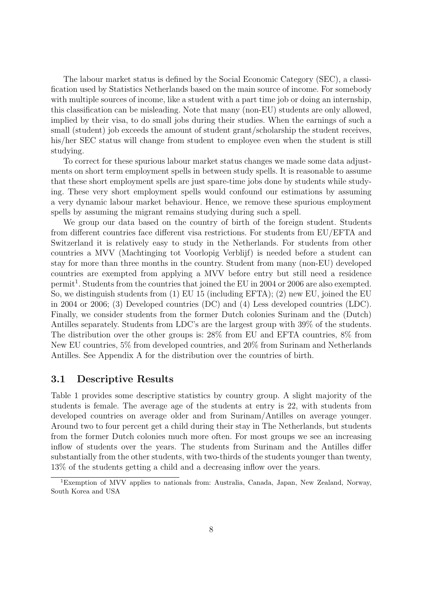The labour market status is defined by the Social Economic Category (SEC), a classification used by Statistics Netherlands based on the main source of income. For somebody with multiple sources of income, like a student with a part time job or doing an internship, this classification can be misleading. Note that many (non-EU) students are only allowed, implied by their visa, to do small jobs during their studies. When the earnings of such a small (student) job exceeds the amount of student grant/scholarship the student receives, his/her SEC status will change from student to employee even when the student is still studying.

To correct for these spurious labour market status changes we made some data adjustments on short term employment spells in between study spells. It is reasonable to assume that these short employment spells are just spare-time jobs done by students while studying. These very short employment spells would confound our estimations by assuming a very dynamic labour market behaviour. Hence, we remove these spurious employment spells by assuming the migrant remains studying during such a spell.

We group our data based on the country of birth of the foreign student. Students from different countries face different visa restrictions. For students from EU/EFTA and Switzerland it is relatively easy to study in the Netherlands. For students from other countries a MVV (Machtinging tot Voorlopig Verblijf) is needed before a student can stay for more than three months in the country. Student from many (non-EU) developed countries are exempted from applying a MVV before entry but still need a residence permit<sup>1</sup>. Students from the countries that joined the EU in 2004 or 2006 are also exempted. So, we distinguish students from (1) EU 15 (including EFTA); (2) new EU, joined the EU in 2004 or 2006; (3) Developed countries (DC) and (4) Less developed countries (LDC). Finally, we consider students from the former Dutch colonies Surinam and the (Dutch) Antilles separately. Students from LDC's are the largest group with 39% of the students. The distribution over the other groups is: 28% from EU and EFTA countries, 8% from New EU countries, 5% from developed countries, and 20% from Surinam and Netherlands Antilles. See Appendix A for the distribution over the countries of birth.

#### **3.1 Descriptive Results**

Table 1 provides some descriptive statistics by country group. A slight majority of the students is female. The average age of the students at entry is 22, with students from developed countries on average older and from Surinam/Antilles on average younger. Around two to four percent get a child during their stay in The Netherlands, but students from the former Dutch colonies much more often. For most groups we see an increasing inflow of students over the years. The students from Surinam and the Antilles differ substantially from the other students, with two-thirds of the students younger than twenty, 13% of the students getting a child and a decreasing inflow over the years.

<sup>1</sup>Exemption of MVV applies to nationals from: Australia, Canada, Japan, New Zealand, Norway, South Korea and USA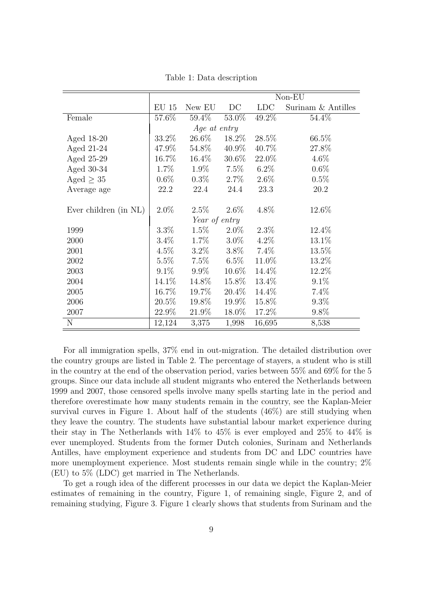|                       |              | Non-EU        |          |            |                    |  |  |  |  |
|-----------------------|--------------|---------------|----------|------------|--------------------|--|--|--|--|
|                       | <b>EU 15</b> | New EU        | DC       | <b>LDC</b> | Surinam & Antilles |  |  |  |  |
| Female                | 57.6%        | 59.4%         | 53.0%    | 49.2%      | 54.4%              |  |  |  |  |
|                       |              | Age at entry  |          |            |                    |  |  |  |  |
| Aged 18-20            | $33.2\%$     | 26.6%         | 18.2\%   | 28.5%      | 66.5%              |  |  |  |  |
| Aged 21-24            | 47.9%        | 54.8%         | 40.9%    | 40.7%      | 27.8%              |  |  |  |  |
| Aged 25-29            | 16.7%        | $16.4\%$      | $30.6\%$ | 22.0%      | 4.6%               |  |  |  |  |
| Aged $30-34$          | 1.7%         | 1.9%          | $7.5\%$  | $6.2\%$    | $0.6\%$            |  |  |  |  |
| Aged $\geq 35$        | $0.6\%$      | $0.3\%$       | $2.7\%$  | $2.6\%$    | 0.5%               |  |  |  |  |
| Average age           | 22.2         | 22.4          | 24.4     | 23.3       | 20.2               |  |  |  |  |
|                       |              |               |          |            |                    |  |  |  |  |
| Ever children (in NL) | $2.0\%$      | $2.5\%$       | $2.6\%$  | $4.8\%$    | 12.6%              |  |  |  |  |
|                       |              | Year of entry |          |            |                    |  |  |  |  |
| 1999                  | $3.3\%$      | $1.5\%$       | $2.0\%$  | $2.3\%$    | 12.4%              |  |  |  |  |
| 2000                  | $3.4\%$      | $1.7\%$       | $3.0\%$  | $4.2\%$    | 13.1%              |  |  |  |  |
| 2001                  | $4.5\%$      | $3.2\%$       | $3.8\%$  | 7.4%       | 13.5%              |  |  |  |  |
| 2002                  | 5.5%         | 7.5%          | $6.5\%$  | 11.0%      | 13.2%              |  |  |  |  |
| 2003                  | $9.1\%$      | $9.9\%$       | $10.6\%$ | 14.4%      | 12.2%              |  |  |  |  |
| 2004                  | 14.1\%       | 14.8%         | 15.8%    | 13.4%      | 9.1%               |  |  |  |  |
| 2005                  | 16.7%        | 19.7%         | 20.4\%   | 14.4%      | 7.4%               |  |  |  |  |
| 2006                  | $20.5\%$     | 19.8%         | 19.9%    | 15.8%      | $9.3\%$            |  |  |  |  |
| 2007                  | 22.9%        | 21.9%         | 18.0%    | 17.2%      | 9.8%               |  |  |  |  |
| N                     | 12,124       | 3,375         | 1,998    | 16,695     | 8,538              |  |  |  |  |

Table 1: Data description

For all immigration spells, 37% end in out-migration. The detailed distribution over the country groups are listed in Table 2. The percentage of stayers, a student who is still in the country at the end of the observation period, varies between 55% and 69% for the 5 groups. Since our data include all student migrants who entered the Netherlands between 1999 and 2007, those censored spells involve many spells starting late in the period and therefore overestimate how many students remain in the country, see the Kaplan-Meier survival curves in Figure 1. About half of the students (46%) are still studying when they leave the country. The students have substantial labour market experience during their stay in The Netherlands with  $14\%$  to  $45\%$  is ever employed and  $25\%$  to  $44\%$  is ever unemployed. Students from the former Dutch colonies, Surinam and Netherlands Antilles, have employment experience and students from DC and LDC countries have more unemployment experience. Most students remain single while in the country; 2% (EU) to 5% (LDC) get married in The Netherlands.

To get a rough idea of the different processes in our data we depict the Kaplan-Meier estimates of remaining in the country, Figure 1, of remaining single, Figure 2, and of remaining studying, Figure 3. Figure 1 clearly shows that students from Surinam and the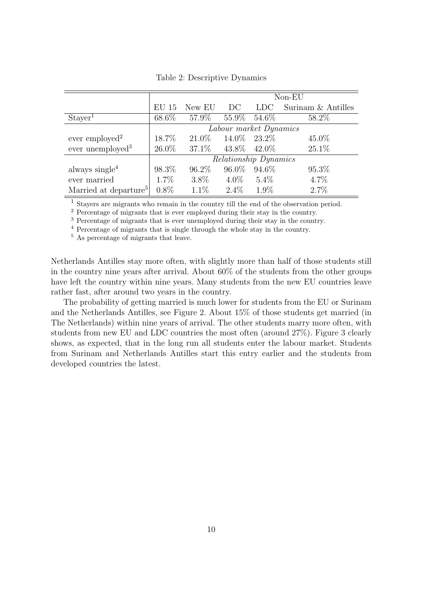|                                   |          | $Non-EU$               |                   |         |                    |  |  |  |
|-----------------------------------|----------|------------------------|-------------------|---------|--------------------|--|--|--|
|                                   | $EU$ 15  | New EU                 | DC                | LDC.    | Surinam & Antilles |  |  |  |
| Stayer <sup>1</sup>               | 68.6%    | $57.9\%$               | $55.9\%$          | 54.6%   | 58.2%              |  |  |  |
|                                   |          | Labour market Dynamics |                   |         |                    |  |  |  |
| ever employed <sup>2</sup>        | 18.7%    | $21.0\%$               | 14.0\% 23.2\%     |         | 45.0%              |  |  |  |
| ever unemployed <sup>3</sup>      | $26.0\%$ | $37.1\%$               | $43.8\%$ $42.0\%$ |         | $25.1\%$           |  |  |  |
|                                   |          | Relationship Dynamics  |                   |         |                    |  |  |  |
| always single $4$                 | 98.3%    | $96.2\%$               | 96.0%             | 94.6%   | 95.3%              |  |  |  |
| ever married                      | $1.7\%$  | $3.8\%$                | $4.0\%$           | $5.4\%$ | $4.7\%$            |  |  |  |
| Married at departure <sup>5</sup> | $0.8\%$  | $1.1\%$                | $2.4\%$           | $1.9\%$ | 2.7%               |  |  |  |

Table 2: Descriptive Dynamics

<sup>1</sup> Stayers are migrants who remain in the country till the end of the observation period.

<sup>2</sup> Percentage of migrants that is ever employed during their stay in the country.

<sup>3</sup> Percentage of migrants that is ever unemployed during their stay in the country.

<sup>4</sup> Percentage of migrants that is single through the whole stay in the country.

<sup>5</sup> As percentage of migrants that leave.

Netherlands Antilles stay more often, with slightly more than half of those students still in the country nine years after arrival. About 60% of the students from the other groups have left the country within nine years. Many students from the new EU countries leave rather fast, after around two years in the country.

The probability of getting married is much lower for students from the EU or Surinam and the Netherlands Antilles, see Figure 2. About 15% of those students get married (in The Netherlands) within nine years of arrival. The other students marry more often, with students from new EU and LDC countries the most often (around 27%). Figure 3 clearly shows, as expected, that in the long run all students enter the labour market. Students from Surinam and Netherlands Antilles start this entry earlier and the students from developed countries the latest.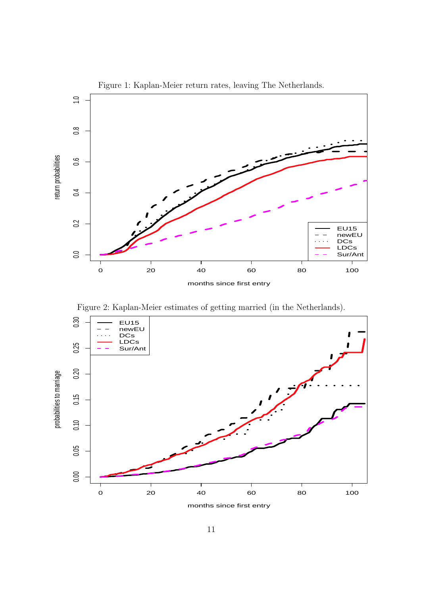

Figure 2: Kaplan-Meier estimates of getting married (in the Netherlands).



months since first entry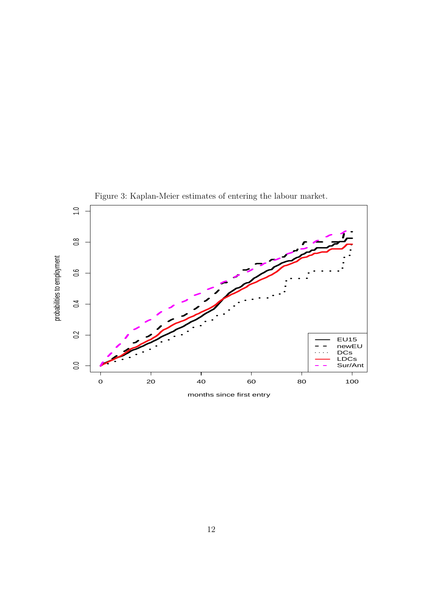

Figure 3: Kaplan-Meier estimates of entering the labour market.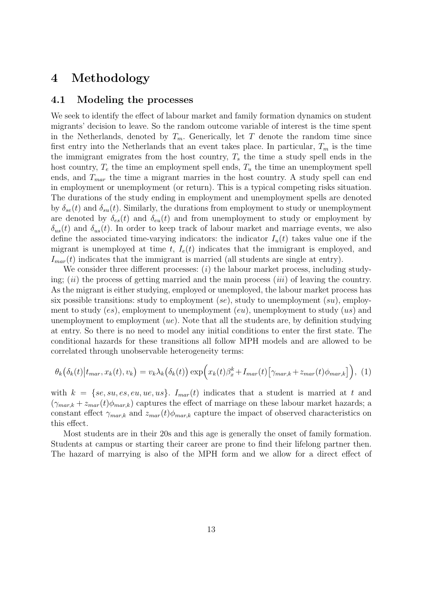## **4 Methodology**

#### **4.1 Modeling the processes**

We seek to identify the effect of labour market and family formation dynamics on student migrants' decision to leave. So the random outcome variable of interest is the time spent in the Netherlands, denoted by  $T_m$ . Generically, let  $T$  denote the random time since first entry into the Netherlands that an event takes place. In particular,  $T_m$  is the time the immigrant emigrates from the host country, *T<sup>s</sup>* the time a study spell ends in the host country,  $T_e$  the time an employment spell ends,  $T_u$  the time an unemployment spell ends, and *Tmar* the time a migrant marries in the host country. A study spell can end in employment or unemployment (or return). This is a typical competing risks situation. The durations of the study ending in employment and unemployment spells are denoted by  $\delta_{se}(t)$  and  $\delta_{su}(t)$ . Similarly, the durations from employment to study or unemployment are denoted by  $\delta_{es}(t)$  and  $\delta_{eu}(t)$  and from unemployment to study or employment by  $\delta_{us}(t)$  and  $\delta_{us}(t)$ . In order to keep track of labour market and marriage events, we also define the associated time-varying indicators: the indicator  $I_u(t)$  takes value one if the migrant is unemployed at time  $t$ ,  $I_e(t)$  indicates that the immigrant is employed, and  $I_{mar}(t)$  indicates that the immigrant is married (all students are single at entry).

We consider three different processes: (*i*) the labour market process, including studying; (*ii*) the process of getting married and the main process (*iii*) of leaving the country. As the migrant is either studying, employed or unemployed, the labour market process has six possible transitions: study to employment (*se*), study to unemployment (*su*), employment to study (*es*), employment to unemployment (*eu*), unemployment to study (*us*) and unemployment to employment (*ue*). Note that all the students are, by definition studying at entry. So there is no need to model any initial conditions to enter the first state. The conditional hazards for these transitions all follow MPH models and are allowed to be correlated through unobservable heterogeneity terms:

$$
\theta_k(\delta_k(t)|t_{mar}, x_k(t), v_k) = v_k \lambda_k(\delta_k(t)) \exp\Bigl(x_k(t)\beta_x^k + I_{mar}(t) \bigl[\gamma_{mar,k} + z_{mar}(t)\phi_{mar,k}\bigr]\Bigr), \tag{1}
$$

with  $k = \{se, su, es, eu, ue, us\}$ .  $I_{mar}(t)$  indicates that a student is married at t and  $(\gamma_{mark} + z_{mar}(t)\phi_{mar,k})$  captures the effect of marriage on these labour market hazards; a constant effect  $\gamma_{max,k}$  and  $z_{mar}(t)\phi_{max,k}$  capture the impact of observed characteristics on this effect.

Most students are in their 20s and this age is generally the onset of family formation. Students at campus or starting their career are prone to find their lifelong partner then. The hazard of marrying is also of the MPH form and we allow for a direct effect of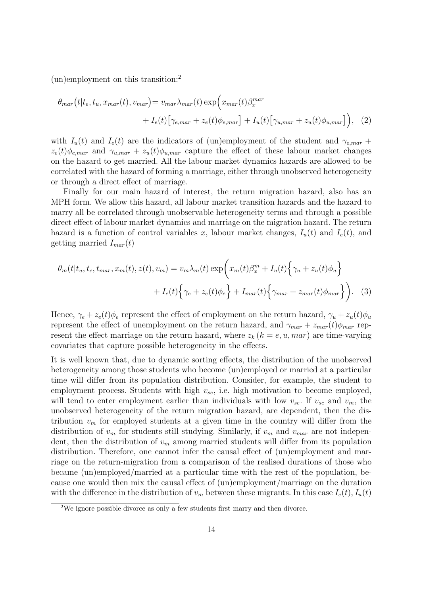(un)employment on this transition:<sup>2</sup>

$$
\theta_{mar}(t|t_e, t_u, x_{mar}(t), v_{mar}) = v_{mar} \lambda_{mar}(t) \exp\left(x_{mar}(t)\beta_x^{mar} + I_e(t)\left[\gamma_{e,max} + z_e(t)\phi_{e,max}\right] + I_u(t)\left[\gamma_{u,max} + z_u(t)\phi_{u,max}\right]\right), \quad (2)
$$

with  $I_u(t)$  and  $I_e(t)$  are the indicators of (un)employment of the student and  $\gamma_{e, max}$  +  $z_e(t)\phi_{e, max}$  and  $\gamma_{u, max} + z_u(t)\phi_{u, max}$  capture the effect of these labour market changes on the hazard to get married. All the labour market dynamics hazards are allowed to be correlated with the hazard of forming a marriage, either through unobserved heterogeneity or through a direct effect of marriage.

Finally for our main hazard of interest, the return migration hazard, also has an MPH form. We allow this hazard, all labour market transition hazards and the hazard to marry all be correlated through unobservable heterogeneity terms and through a possible direct effect of labour market dynamics and marriage on the migration hazard. The return hazard is a function of control variables x, labour market changes,  $I_u(t)$  and  $I_e(t)$ , and getting married *Imar*(*t*)

$$
\theta_m(t|t_u, t_e, t_{mar}, x_m(t), z(t), v_m) = v_m \lambda_m(t) \exp\left(x_m(t)\beta_x^m + I_u(t)\left\{\gamma_u + z_u(t)\phi_u\right\}\right) + I_e(t)\left\{\gamma_e + z_e(t)\phi_e\right\} + I_{mar}(t)\left\{\gamma_{mar} + z_{mar}(t)\phi_{mar}\right\}\right).
$$
 (3)

Hence,  $\gamma_e + z_e(t)\phi_e$  represent the effect of employment on the return hazard,  $\gamma_u + z_u(t)\phi_u$ represent the effect of unemployment on the return hazard, and  $\gamma_{mar} + z_{mar}(t)\phi_{mar}$  represent the effect marriage on the return hazard, where  $z_k$  ( $k = e, u, mar$ ) are time-varying covariates that capture possible heterogeneity in the effects.

It is well known that, due to dynamic sorting effects, the distribution of the unobserved heterogeneity among those students who become (un)employed or married at a particular time will differ from its population distribution. Consider, for example, the student to employment process. Students with high  $v_{se}$ , i.e. high motivation to become employed, will tend to enter employment earlier than individuals with low  $v_{se}$ . If  $v_{se}$  and  $v_m$ , the unobserved heterogeneity of the return migration hazard, are dependent, then the distribution  $v_m$  for employed students at a given time in the country will differ from the distribution of  $v_m$  for students still studying. Similarly, if  $v_m$  and  $v_{mar}$  are not independent, then the distribution of *v<sup>m</sup>* among married students will differ from its population distribution. Therefore, one cannot infer the causal effect of  $(m)$ employment and marriage on the return-migration from a comparison of the realised durations of those who became (un)employed/married at a particular time with the rest of the population, because one would then mix the causal effect of (un)employment/marriage on the duration with the difference in the distribution of  $v_m$  between these migrants. In this case  $I_e(t)$ ,  $I_u(t)$ 

<sup>2</sup>We ignore possible divorce as only a few students first marry and then divorce.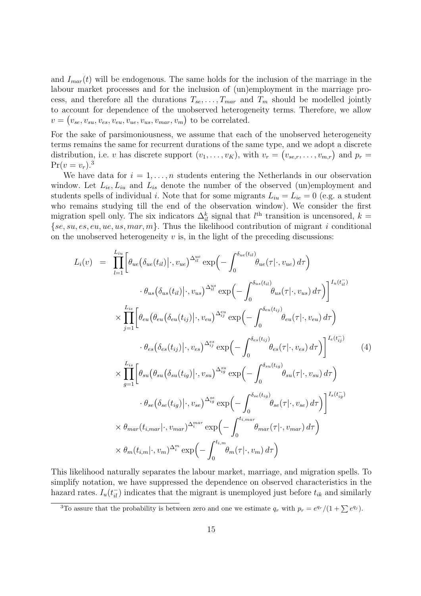and  $I_{mar}(t)$  will be endogenous. The same holds for the inclusion of the marriage in the labour market processes and for the inclusion of (un)employment in the marriage process, and therefore all the durations  $T_{se}, \ldots, T_{mar}$  and  $T_m$  should be modelled jointly to account for dependence of the unobserved heterogeneity terms. Therefore, we allow  $v = (v_{se}, v_{su}, v_{es}, v_{eu}, v_{ue}, v_{us}, v_{mar}, v_m)$  to be correlated.

For the sake of parsimoniousness, we assume that each of the unobserved heterogeneity terms remains the same for recurrent durations of the same type, and we adopt a discrete distribution, i.e. *v* has discrete support  $(v_1, \ldots, v_K)$ , with  $v_r = (v_{se,r}, \ldots, v_{m,r})$  and  $p_r =$  $Pr(v = v_r).$ <sup>3</sup>

We have data for  $i = 1, \ldots, n$  students entering the Netherlands in our observation window. Let  $L_{ie}$ ,  $L_{iu}$  and  $L_{is}$  denote the number of the observed (un)employment and students spells of individual *i*. Note that for some migrants  $L_{iu} = L_{ie} = 0$  (e.g. a student who remains studying till the end of the observation window). We consider the first migration spell only. The six indicators  $\Delta_{il}^k$  signal that  $l^{\text{th}}$  transition is uncensored,  $k =$ *{se, su, es, eu, ue, us, mar, m}*. Thus the likelihood contribution of migrant *i* conditional on the unobserved heterogeneity  $v$  is, in the light of the preceding discussions:

$$
L_i(v) = \prod_{l=1}^{L_{iu}} \left[ \theta_{ue}(\delta_{ue}(t_{il}) | \cdot, v_{ue})^{\Delta_{il}^{ue}} \exp\left(-\int_0^{\delta_{ue}(t_{il})} \theta_{ue}(\tau | \cdot, v_{ue}) d\tau\right) \right. \\
\left. \cdot \theta_{us}(\delta_{us}(t_{il}) | \cdot, v_{us})^{\Delta_{il}^{us}} \exp\left(-\int_0^{\delta_{us}(t_{il})} \theta_{us}(\tau | \cdot, v_{us}) d\tau\right) \right]^{I_u(t_{il})} \\
\times \prod_{j=1}^{L_{ie}} \left[ \theta_{eu}(\theta_{eu}(\delta_{eu}(t_{ij}) | \cdot, v_{eu})^{\Delta_{ij}^{eu}} \exp\left(-\int_0^{\delta_{eu}(t_{ij})} \theta_{eu}(\tau | \cdot, v_{eu}) d\tau\right) \right. \\
\left. \cdot \theta_{es}(\delta_{es}(t_{ij}) | \cdot, v_{es})^{\Delta_{ij}^{es}} \exp\left(-\int_0^{\delta_{es}(t_{ij})} \theta_{es}(\tau | \cdot, v_{es}) d\tau\right) \right]^{I_e(t_{ij})} \left( 4 \right)
$$
\n
$$
\times \prod_{g=1}^{L_{is}} \left[ \theta_{su}(\theta_{su}(\delta_{su}(t_{ig}) | \cdot, v_{su})^{\Delta_{ij}^{su}} \exp\left(-\int_0^{\delta_{su}(t_{ig})} \theta_{su}(\tau | \cdot, v_{su}) d\tau\right) \right. \\
\left. \cdot \theta_{se}(\delta_{se}(t_{ig}) | \cdot, v_{se})^{\Delta_{ig}^{se}} \exp\left(-\int_0^{\delta_{se}(t_{ig})} \theta_{se}(\tau | \cdot, v_{se}) d\tau\right) \right]^{I_s(t_{ig})} \times \theta_{mar}(t_{i,mar} | \cdot, v_{mar})^{\Delta_{i}^{mar}} \exp\left(-\int_0^{t_{i,mar}} \theta_{mar}(\tau | \cdot, v_{mar}) d\tau\right) \times \theta_{m}(t_{i,mr} | \cdot, v_{m})^{\Delta_{i}^{m}} \exp\left(-\int_0^{t_{i,mar}} \theta_{m}(\tau | \cdot, v_{m}) d\tau\right)
$$

This likelihood naturally separates the labour market, marriage, and migration spells. To simplify notation, we have suppressed the dependence on observed characteristics in the hazard rates.  $I_u(t_{\bar{i}})$  indicates that the migrant is unemployed just before  $t_{ik}$  and similarly

<sup>3</sup>To assure that the probability is between zero and one we estimate  $q_r$  with  $p_r = e^{q_r}/(1 + \sum e^{q_j})$ .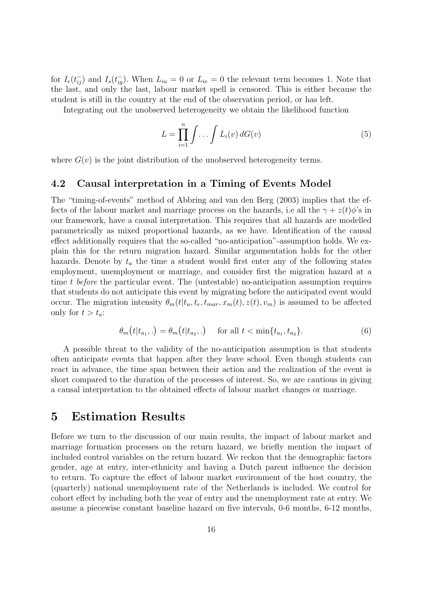for  $I_e(t_{ij}^-)$  and  $I_s(t_{ig}^-)$ . When  $L_{iu} = 0$  or  $L_{ie} = 0$  the relevant term becomes 1. Note that the last, and only the last, labour market spell is censored. This is either because the student is still in the country at the end of the observation period, or has left.

Integrating out the unobserved heterogeneity we obtain the likelihood function

$$
L = \prod_{i=1}^{n} \int \ldots \int L_i(v) dG(v)
$$
\n(5)

where  $G(v)$  is the joint distribution of the unobserved heterogeneity terms.

#### **4.2 Causal interpretation in a Timing of Events Model**

The "timing-of-events" method of Abbring and van den Berg (2003) implies that the effects of the labour market and marriage process on the hazards, i.e all the  $\gamma + z(t)\phi$ 's in our framework, have a causal interpretation. This requires that all hazards are modelled parametrically as mixed proportional hazards, as we have. Identification of the causal effect additionally requires that the so-called "no-anticipation"-assumption holds. We explain this for the return migration hazard. Similar argumentation holds for the other hazards. Denote by  $t_a$  the time a student would first enter any of the following states employment, unemployment or marriage, and consider first the migration hazard at a time *t before* the particular event. The (untestable) no-anticipation assumption requires that students do not anticipate this event by migrating before the anticipated event would occur. The migration intensity  $\theta_m(t|t_u, t_e, t_{max}, x_m(t), z(t), v_m)$  is assumed to be affected only for  $t > t_a$ :

$$
\theta_m(t|t_{a_1},.) = \theta_m(t|t_{a_2},.) \quad \text{for all } t < \min\{t_{a_1}, t_{a_2}\}.
$$
 (6)

A possible threat to the validity of the no-anticipation assumption is that students often anticipate events that happen after they leave school. Even though students can react in advance, the time span between their action and the realization of the event is short compared to the duration of the processes of interest. So, we are cautious in giving a causal interpretation to the obtained effects of labour market changes or marriage.

### **5 Estimation Results**

Before we turn to the discussion of our main results, the impact of labour market and marriage formation processes on the return hazard, we briefly mention the impact of included control variables on the return hazard. We reckon that the demographic factors gender, age at entry, inter-ethnicity and having a Dutch parent influence the decision to return. To capture the effect of labour market environment of the host country, the (quarterly) national unemployment rate of the Netherlands is included. We control for cohort effect by including both the year of entry and the unemployment rate at entry. We assume a piecewise constant baseline hazard on five intervals, 0-6 months, 6-12 months,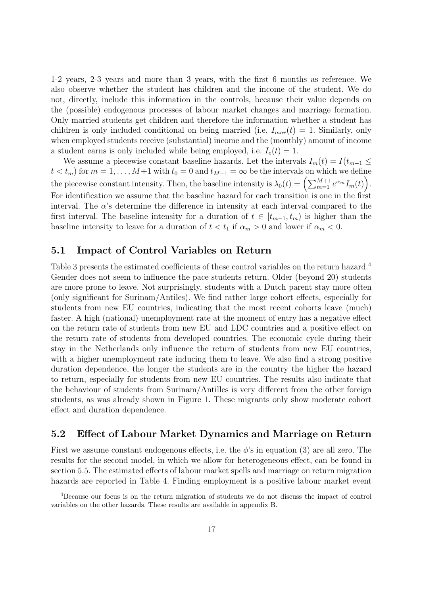1-2 years, 2-3 years and more than 3 years, with the first 6 months as reference. We also observe whether the student has children and the income of the student. We do not, directly, include this information in the controls, because their value depends on the (possible) endogenous processes of labour market changes and marriage formation. Only married students get children and therefore the information whether a student has children is only included conditional on being married (i.e,  $I_{mar}(t) = 1$ . Similarly, only when employed students receive (substantial) income and the (monthly) amount of income a student earns is only included while being employed, i.e.  $I_e(t) = 1$ .

We assume a piecewise constant baseline hazards. Let the intervals  $I_m(t) = I(t_{m-1} \leq$  $t < t_m$ ) for  $m = 1, \ldots, M+1$  with  $t_0 = 0$  and  $t_{M+1} = \infty$  be the intervals on which we define the piecewise constant intensity. Then, the baseline intensity is  $\lambda_0(t) = \left(\sum_{m=1}^{M+1} e^{\alpha_m} I_m(t)\right)$ . For identification we assume that the baseline hazard for each transition is one in the first interval. The  $\alpha$ 's determine the difference in intensity at each interval compared to the first interval. The baseline intensity for a duration of  $t \in [t_{m-1}, t_m)$  is higher than the baseline intensity to leave for a duration of  $t < t_1$  if  $\alpha_m > 0$  and lower if  $\alpha_m < 0$ .

#### **5.1 Impact of Control Variables on Return**

Table 3 presents the estimated coefficients of these control variables on the return hazard.<sup>4</sup> Gender does not seem to influence the pace students return. Older (beyond 20) students are more prone to leave. Not surprisingly, students with a Dutch parent stay more often (only significant for Surinam/Antiles). We find rather large cohort effects, especially for students from new EU countries, indicating that the most recent cohorts leave (much) faster. A high (national) unemployment rate at the moment of entry has a negative effect on the return rate of students from new EU and LDC countries and a positive effect on the return rate of students from developed countries. The economic cycle during their stay in the Netherlands only influence the return of students from new EU countries, with a higher unemployment rate inducing them to leave. We also find a strong positive duration dependence, the longer the students are in the country the higher the hazard to return, especially for students from new EU countries. The results also indicate that the behaviour of students from Surinam/Antilles is very different from the other foreign students, as was already shown in Figure 1. These migrants only show moderate cohort effect and duration dependence.

#### **5.2 Effect of Labour Market Dynamics and Marriage on Return**

First we assume constant endogenous effects, i.e. the  $\phi$ 's in equation (3) are all zero. The results for the second model, in which we allow for heterogeneous effect, can be found in section 5.5. The estimated effects of labour market spells and marriage on return migration hazards are reported in Table 4. Finding employment is a positive labour market event

<sup>4</sup>Because our focus is on the return migration of students we do not discuss the impact of control variables on the other hazards. These results are available in appendix B.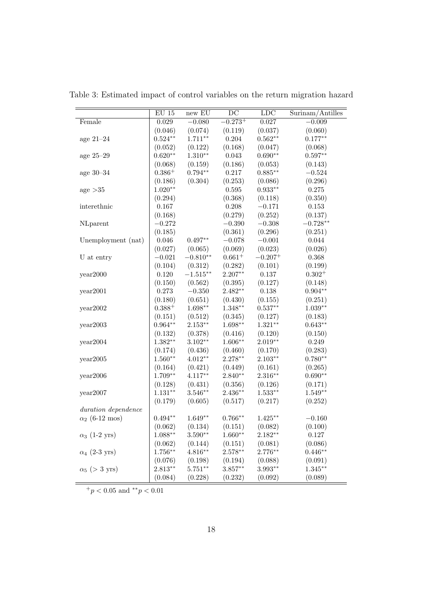|                       | $\mathrm{EU}$ 15   | $new$ $EU$  | DC                    | LDC        | Surinam/Antilles |
|-----------------------|--------------------|-------------|-----------------------|------------|------------------|
| Female                | $\,0.029\,$        | $-0.080$    | $-0.273^{+}$          | 0.027      | $-0.009$         |
|                       | (0.046)            | (0.074)     | (0.119)               | (0.037)    | (0.060)          |
| age $21-24$           | $0.524**$          | $1.711***$  | 0.204                 | $0.562**$  | $0.177**$        |
|                       | (0.052)            | (0.122)     | (0.168)               | (0.047)    | (0.068)          |
| age 25-29             | $0.620**$          | $1.310**$   | 0.043                 | $0.690**$  | $0.597**$        |
|                       | (0.068)            | (0.159)     | (0.186)               | (0.053)    | (0.143)          |
| age $30-34$           | $0.386+$           | $0.794**$   | 0.217                 | $0.885**$  | $-0.524$         |
|                       | (0.186)            | (0.304)     | (0.253)               | (0.086)    | (0.296)          |
| age $>35$             | $1.020**$          |             | 0.595                 | $0.933**$  | $0.275\,$        |
|                       | (0.294)            |             | (0.368)               | (0.118)    | (0.350)          |
| interethnic           | 0.167              |             | 0.208                 | $-0.171$   | $0.153\,$        |
|                       | (0.168)            |             | (0.279)               | (0.252)    | (0.137)          |
| NLparent              | $-0.272$           |             | $-0.390$              | $-0.308$   | $-0.728**$       |
|                       | (0.185)            |             | (0.361)               | (0.296)    | (0.251)          |
| Unemployment (nat)    | 0.046              | $0.497**$   | $-0.078$              | $-0.001\,$ | 0.044            |
|                       | (0.027)            | (0.065)     | (0.069)               | (0.023)    | (0.026)          |
| U at entry            | $-0.021$           | $-0.810**$  | $0.661^{+}$           | $-0.207+$  | 0.368            |
|                       | (0.104)            | (0.312)     | (0.282)               | (0.101)    | (0.199)          |
| year2000              | 0.120              | $-1.515***$ | $2.207**$             | $0.137\,$  | $0.302^{+}$      |
|                       | (0.150)            | (0.562)     | (0.395)               | (0.127)    | (0.148)          |
| year2001              | 0.273              | $-0.350$    | $2.482**$             | $0.138\,$  | $0.904**$        |
|                       | (0.180)            | (0.651)     | (0.430)               | (0.155)    | (0.251)          |
| year2002              | $0.388^{+}$        | $1.698**$   | $1.348**$             | $0.537**$  | $1.039**$        |
|                       | (0.151)            | (0.512)     | (0.345)               | (0.127)    | (0.183)          |
| year2003              | $0.964**$          | $2.153**$   | $1.698**$             | $1.321**$  | $0.643**$        |
|                       | (0.132)            | (0.378)     | (0.416)               | (0.120)    | (0.150)          |
| year2004              | $1.382**$          | $3.102**$   | $1.606**$             | $2.019**$  | 0.249            |
|                       | (0.174)            | (0.436)     | (0.460)               | (0.170)    | (0.283)          |
| year2005              | $1.560**$          | $4.012**$   | $2.278**$             | $2.103**$  | $0.780**$        |
|                       | (0.164)            | (0.421)     | (0.449)               | (0.161)    | (0.265)          |
| year2006              | $1.709**$          | $4.117**$   | $2.840**$             | $2.316***$ | $0.690**$        |
|                       | (0.128)            | (0.431)     | (0.356)               | (0.126)    | (0.171)          |
| year2007              | $1.131**$          | $3.546**$   | $2.436**$             | $1.533**$  | $1.549**$        |
|                       | (0.179)            | (0.605)     | (0.517)               | (0.217)    | (0.252)          |
| duration dependence   |                    |             |                       |            |                  |
| $\alpha_2$ (6-12 mos) | $0.494^{\ast\ast}$ | $1.649**$   | $0.766**$             | $1.425***$ | $-0.160$         |
|                       | (0.062)            | (0.134)     | (0.151)               | (0.082)    | (0.100)          |
| $\alpha_3$ (1-2 yrs)  | $1.088**$          | $3.590**$   | $1.660**$             | $2.182**$  | 0.127            |
|                       | (0.062)            | (0.144)     | (0.151)               | (0.081)    | (0.086)          |
| $\alpha_4$ (2-3 yrs)  | $1.756**$          | $4.816**$   | $2.578**$             | $2.776**$  | $0.446**$        |
|                       | (0.076)            | (0.198)     | (0.194)               | (0.088)    | (0.091)          |
| $\alpha_5$ (> 3 yrs)  | $2.813**$          | $5.751**$   | $3.857**$             | $3.993**$  | $1.345***$       |
|                       | (0.084)            | (0.228)     | $\left( 0.232\right)$ | (0.092)    | (0.089)          |

Table 3: Estimated impact of control variables on the return migration hazard

<sup>+</sup>*p <* 0*.*05 and *∗∗p <* 0*.*01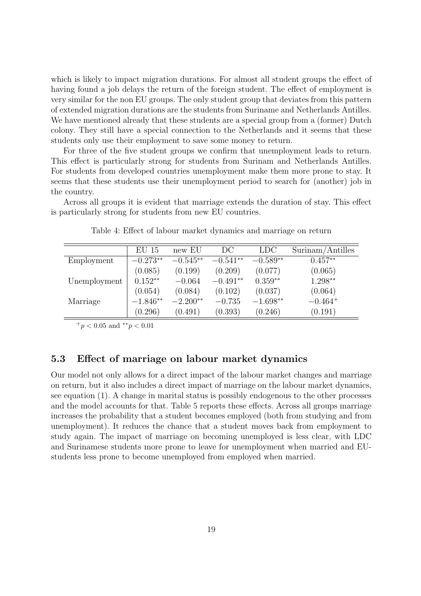which is likely to impact migration durations. For almost all student groups the effect of having found a job delays the return of the foreign student. The effect of employment is very similar for the non EU groups. The only student group that deviates from this pattern of extended migration durations are the students from Suriname and Netherlands Antilles. We have mentioned already that these students are a special group from a (former) Dutch colony. They still have a special connection to the Netherlands and it seems that these students only use their employment to save some money to return.

For three of the five student groups we confirm that unemployment leads to return. This effect is particularly strong for students from Surinam and Netherlands Antilles. For students from developed countries unemployment make them more prone to stay. It seems that these students use their unemployment period to search for (another) job in the country.

Across all groups it is evident that marriage extends the duration of stay. This effect is particularly strong for students from new EU countries.

|              | EU 15      | new EU     | DC         | LDC        | Surinam/Antilles |
|--------------|------------|------------|------------|------------|------------------|
| Employment   | $-0.273**$ | $-0.545**$ | $-0.541**$ | $-0.589**$ | $0.457**$        |
|              | (0.085)    | (0.199)    | (0.209)    | (0.077)    | (0.065)          |
| Unemployment | $0.152**$  | $-0.064$   | $-0.491**$ | $0.359**$  | 1.298**          |
|              | (0.054)    | (0.084)    | (0.102)    | (0.037)    | (0.064)          |
| Marriage     | $-1.846**$ | $-2.200**$ | $-0.735$   | $-1.698**$ | $-0.464^{+}$     |
|              | (0.296)    | (0.491)    | (0.393)    | (0.246)    | (0.191)          |

Table 4: Effect of labour market dynamics and marriage on return

<sup>+</sup>*p <* 0*.*05 and *∗∗p <* 0*.*01

#### **5.3 Effect of marriage on labour market dynamics**

Our model not only allows for a direct impact of the labour market changes and marriage on return, but it also includes a direct impact of marriage on the labour market dynamics, see equation (1). A change in marital status is possibly endogenous to the other processes and the model accounts for that. Table 5 reports these effects. Across all groups marriage increases the probability that a student becomes employed (both from studying and from unemployment). It reduces the chance that a student moves back from employment to study again. The impact of marriage on becoming unemployed is less clear, with LDC and Surinamese students more prone to leave for unemployment when married and EUstudents less prone to become unemployed from employed when married.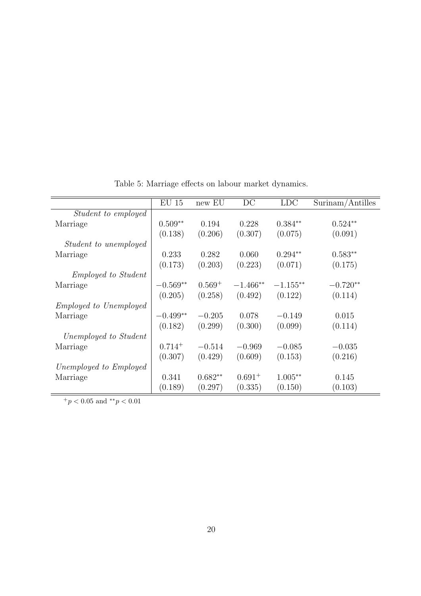|                               | $EU$ 15     | new EU    | DC          | <b>LDC</b> | Surinam/Antilles |
|-------------------------------|-------------|-----------|-------------|------------|------------------|
| <i>Student to employed</i>    |             |           |             |            |                  |
| Marriage                      | $0.509**$   | 0.194     | 0.228       | $0.384**$  | $0.524**$        |
|                               | (0.138)     | (0.206)   | (0.307)     | (0.075)    | (0.091)          |
| <i>Student to unemployed</i>  |             |           |             |            |                  |
| Marriage                      | 0.233       | 0.282     | 0.060       | $0.294**$  | $0.583**$        |
|                               | (0.173)     | (0.203)   | (0.223)     | (0.071)    | (0.175)          |
| <i>Employed to Student</i>    |             |           |             |            |                  |
| Marriage                      | $-0.569**$  | $0.569^+$ | $-1.466**$  | $-1.155**$ | $-0.720**$       |
|                               | (0.205)     | (0.258)   | (0.492)     | (0.122)    | (0.114)          |
| <i>Employed to Unemployed</i> |             |           |             |            |                  |
| Marriage                      | $-0.499**$  | $-0.205$  | 0.078       | $-0.149$   | 0.015            |
|                               | (0.182)     | (0.299)   | (0.300)     | (0.099)    | (0.114)          |
| Unemployed to Student         |             |           |             |            |                  |
| Marriage                      | $0.714^{+}$ | $-0.514$  | $-0.969$    | $-0.085$   | $-0.035$         |
|                               | (0.307)     | (0.429)   | (0.609)     | (0.153)    | (0.216)          |
| Unemployed to Employed        |             |           |             |            |                  |
| Marriage                      | 0.341       | $0.682**$ | $0.691^{+}$ | $1.005**$  | 0.145            |
|                               | (0.189)     | (0.297)   | (0.335)     | (0.150)    | (0.103)          |

Table 5: Marriage effects on labour market dynamics.

 $+ p < 0.05$  and  $*^* p < 0.01$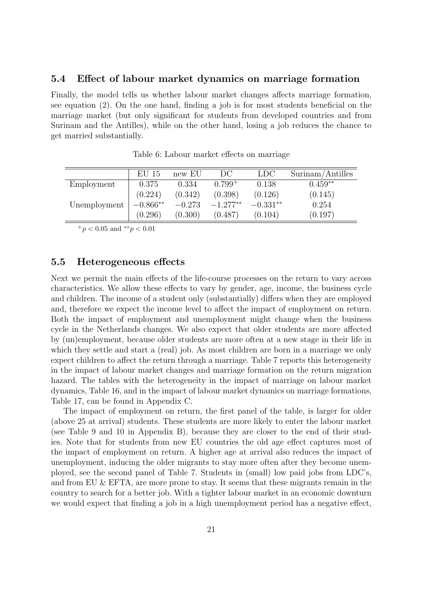#### **5.4 Effect of labour market dynamics on marriage formation**

Finally, the model tells us whether labour market changes affects marriage formation, see equation (2). On the one hand, finding a job is for most students beneficial on the marriage market (but only significant for students from developed countries and from Surinam and the Antilles), while on the other hand, losing a job reduces the chance to get married substantially.

|              | $EU$ 15    | new EU   | DC.         | <b>LDC</b> | Surinam/Antilles |
|--------------|------------|----------|-------------|------------|------------------|
| Employment   | 0.375      | 0.334    | $0.799^{+}$ | 0.138      | $0.459**$        |
|              | (0.224)    | (0.342)  | (0.398)     | (0.126)    | (0.145)          |
| Unemployment | $-0.866**$ | $-0.273$ | $-1.277**$  | $-0.331**$ | 0.254            |
|              | (0.296)    | (0.300)  | (0.487)     | (0.104)    | (0.197)          |

Table 6: Labour market effects on marriage

<sup>+</sup>*p <* 0*.*05 and *∗∗p <* 0*.*01

#### **5.5 Heterogeneous effects**

Next we permit the main effects of the life-course processes on the return to vary across characteristics. We allow these effects to vary by gender, age, income, the business cycle and children. The income of a student only (substantially) differs when they are employed and, therefore we expect the income level to affect the impact of employment on return. Both the impact of employment and unemployment might change when the business cycle in the Netherlands changes. We also expect that older students are more affected by (un)employment, because older students are more often at a new stage in their life in which they settle and start a (real) job. As most children are born in a marriage we only expect children to affect the return through a marriage. Table 7 reports this heterogeneity in the impact of labour market changes and marriage formation on the return migration hazard. The tables with the heterogeneity in the impact of marriage on labour market dynamics, Table 16, and in the impact of labour market dynamics on marriage formations, Table 17, can be found in Appendix C.

The impact of employment on return, the first panel of the table, is larger for older (above 25 at arrival) students. These students are more likely to enter the labour market (see Table 9 and 10 in Appendix B), because they are closer to the end of their studies. Note that for students from new EU countries the old age effect captures most of the impact of employment on return. A higher age at arrival also reduces the impact of unemployment, inducing the older migrants to stay more often after they become unemployed, see the second panel of Table 7. Students in (small) low paid jobs from LDC's, and from EU & EFTA, are more prone to stay. It seems that these migrants remain in the country to search for a better job. With a tighter labour market in an economic downturn we would expect that finding a job in a high unemployment period has a negative effect,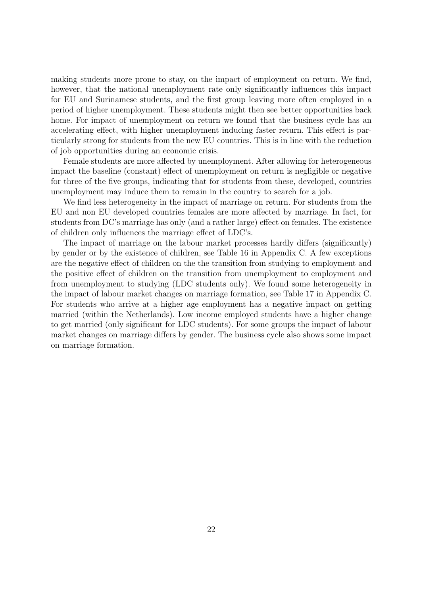making students more prone to stay, on the impact of employment on return. We find, however, that the national unemployment rate only significantly influences this impact for EU and Surinamese students, and the first group leaving more often employed in a period of higher unemployment. These students might then see better opportunities back home. For impact of unemployment on return we found that the business cycle has an accelerating effect, with higher unemployment inducing faster return. This effect is particularly strong for students from the new EU countries. This is in line with the reduction of job opportunities during an economic crisis.

Female students are more affected by unemployment. After allowing for heterogeneous impact the baseline (constant) effect of unemployment on return is negligible or negative for three of the five groups, indicating that for students from these, developed, countries unemployment may induce them to remain in the country to search for a job.

We find less heterogeneity in the impact of marriage on return. For students from the EU and non EU developed countries females are more affected by marriage. In fact, for students from DC's marriage has only (and a rather large) effect on females. The existence of children only influences the marriage effect of LDC's.

The impact of marriage on the labour market processes hardly differs (significantly) by gender or by the existence of children, see Table 16 in Appendix C. A few exceptions are the negative effect of children on the the transition from studying to employment and the positive effect of children on the transition from unemployment to employment and from unemployment to studying (LDC students only). We found some heterogeneity in the impact of labour market changes on marriage formation, see Table 17 in Appendix C. For students who arrive at a higher age employment has a negative impact on getting married (within the Netherlands). Low income employed students have a higher change to get married (only significant for LDC students). For some groups the impact of labour market changes on marriage differs by gender. The business cycle also shows some impact on marriage formation.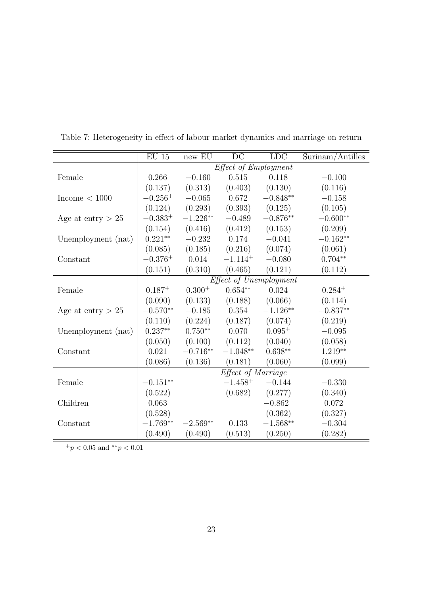|                     | $\mathrm{EU}$ 15 | new EU     | DC                   | <b>LDC</b>             | Surinam/Antilles |
|---------------------|------------------|------------|----------------------|------------------------|------------------|
|                     |                  |            | Effect of Employment |                        |                  |
| Female              | 0.266            | $-0.160$   | 0.515                | 0.118                  | $-0.100$         |
|                     | (0.137)          | (0.313)    | (0.403)              | (0.130)                | (0.116)          |
| Income $< 1000$     | $-0.256^{+}$     | $-0.065$   | 0.672                | $-0.848**$             | $-0.158$         |
|                     | (0.124)          | (0.293)    | (0.393)              | (0.125)                | (0.105)          |
| Age at entry $> 25$ | $-0.383^{+}$     | $-1.226**$ | $-0.489$             | $-0.876**$             | $-0.600**$       |
|                     | (0.154)          | (0.416)    | (0.412)              | (0.153)                | (0.209)          |
| Unemployment (nat)  | $0.221**$        | $-0.232$   | 0.174                | $-0.041$               | $-0.162**$       |
|                     | (0.085)          | (0.185)    | (0.216)              | (0.074)                | (0.061)          |
| Constant            | $-0.376^{+}$     | 0.014      | $-1.114^{+}$         | $-0.080$               | $0.704**$        |
|                     | (0.151)          | (0.310)    | (0.465)              | (0.121)                | (0.112)          |
|                     |                  |            |                      | Effect of Unemployment |                  |
| Female              | $0.187^{+}$      | $0.300+$   | $0.654**$            | 0.024                  | $0.284^{+}$      |
|                     | (0.090)          | (0.133)    | (0.188)              | (0.066)                | (0.114)          |
| Age at entry $> 25$ | $-0.570**$       | $-0.185$   | 0.354                | $-1.126**$             | $-0.837**$       |
|                     | (0.110)          | (0.224)    | (0.187)              | (0.074)                | (0.219)          |
| Unemployment (nat)  | $0.237**$        | $0.750**$  | 0.070                | $0.095+$               | $-0.095$         |
|                     | (0.050)          | (0.100)    | (0.112)              | (0.040)                | (0.058)          |
| Constant            | 0.021            | $-0.716**$ | $-1.048^{\ast\ast}$  | $0.638**$              | $1.219**$        |
|                     | (0.086)          | (0.136)    | (0.181)              | (0.060)                | (0.099)          |
|                     |                  |            | Effect of Marriage   |                        |                  |
| Female              | $-0.151**$       |            | $-1.458^{+}$         | $-0.144$               | $-0.330$         |
|                     | (0.522)          |            | (0.682)              | (0.277)                | (0.340)          |
| Children            | 0.063            |            |                      | $-0.862^{+}$           | 0.072            |
|                     | (0.528)          |            |                      | (0.362)                | (0.327)          |
| Constant            | $-1.769**$       | $-2.569**$ | 0.133                | $-1.568**$             | $-0.304$         |
|                     | (0.490)          | (0.490)    | (0.513)              | (0.250)                | (0.282)          |

Table 7: Heterogeneity in effect of labour market dynamics and marriage on return

 $+ p < 0.05$  and  $*^*p < 0.01$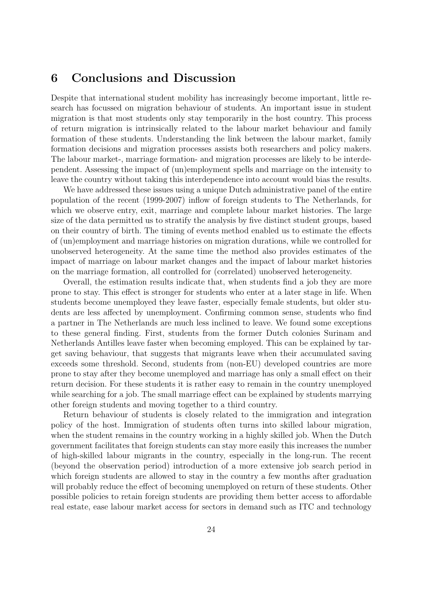## **6 Conclusions and Discussion**

Despite that international student mobility has increasingly become important, little research has focussed on migration behaviour of students. An important issue in student migration is that most students only stay temporarily in the host country. This process of return migration is intrinsically related to the labour market behaviour and family formation of these students. Understanding the link between the labour market, family formation decisions and migration processes assists both researchers and policy makers. The labour market-, marriage formation- and migration processes are likely to be interdependent. Assessing the impact of (un)employment spells and marriage on the intensity to leave the country without taking this interdependence into account would bias the results.

We have addressed these issues using a unique Dutch administrative panel of the entire population of the recent (1999-2007) inflow of foreign students to The Netherlands, for which we observe entry, exit, marriage and complete labour market histories. The large size of the data permitted us to stratify the analysis by five distinct student groups, based on their country of birth. The timing of events method enabled us to estimate the effects of (un)employment and marriage histories on migration durations, while we controlled for unobserved heterogeneity. At the same time the method also provides estimates of the impact of marriage on labour market changes and the impact of labour market histories on the marriage formation, all controlled for (correlated) unobserved heterogeneity.

Overall, the estimation results indicate that, when students find a job they are more prone to stay. This effect is stronger for students who enter at a later stage in life. When students become unemployed they leave faster, especially female students, but older students are less affected by unemployment. Confirming common sense, students who find a partner in The Netherlands are much less inclined to leave. We found some exceptions to these general finding. First, students from the former Dutch colonies Surinam and Netherlands Antilles leave faster when becoming employed. This can be explained by target saving behaviour, that suggests that migrants leave when their accumulated saving exceeds some threshold. Second, students from (non-EU) developed countries are more prone to stay after they become unemployed and marriage has only a small effect on their return decision. For these students it is rather easy to remain in the country unemployed while searching for a job. The small marriage effect can be explained by students marrying other foreign students and moving together to a third country.

Return behaviour of students is closely related to the immigration and integration policy of the host. Immigration of students often turns into skilled labour migration, when the student remains in the country working in a highly skilled job. When the Dutch government facilitates that foreign students can stay more easily this increases the number of high-skilled labour migrants in the country, especially in the long-run. The recent (beyond the observation period) introduction of a more extensive job search period in which foreign students are allowed to stay in the country a few months after graduation will probably reduce the effect of becoming unemployed on return of these students. Other possible policies to retain foreign students are providing them better access to affordable real estate, ease labour market access for sectors in demand such as ITC and technology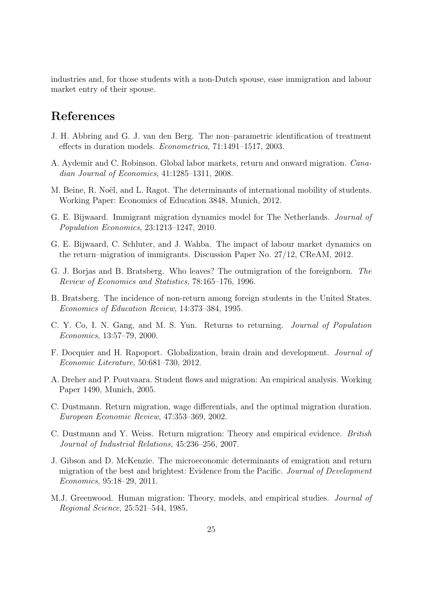industries and, for those students with a non-Dutch spouse, ease immigration and labour market entry of their spouse.

## **References**

- J. H. Abbring and G. J. van den Berg. The non–parametric identification of treatment effects in duration models. *Econometrica*, 71:1491–1517, 2003.
- A. Aydemir and C. Robinson. Global labor markets, return and onward migration. *Canadian Journal of Economics*, 41:1285–1311, 2008.
- M. Beine, R. Noël, and L. Ragot. The determinants of international mobility of students. Working Paper: Economics of Education 3848, Munich, 2012.
- G. E. Bijwaard. Immigrant migration dynamics model for The Netherlands. *Journal of Population Economics*, 23:1213–1247, 2010.
- G. E. Bijwaard, C. Schluter, and J. Wahba. The impact of labour market dynamics on the return–migration of immigrants. Discussion Paper No. 27/12, CReAM, 2012.
- G. J. Borjas and B. Bratsberg. Who leaves? The outmigration of the foreignborn. *The Review of Economics and Statistics*, 78:165–176, 1996.
- B. Bratsberg. The incidence of non-return among foreign students in the United States. *Economics of Education Review*, 14:373–384, 1995.
- C. Y. Co, I. N. Gang, and M. S. Yun. Returns to returning. *Journal of Population Economics*, 13:57–79, 2000.
- F. Docquier and H. Rapoport. Globalization, brain drain and development. *Journal of Economic Literature*, 50:681–730, 2012.
- A. Dreher and P. Poutvaara. Student flows and migration: An empirical analysis. Working Paper 1490, Munich, 2005.
- C. Dustmann. Return migration, wage differentials, and the optimal migration duration. *European Economic Review*, 47:353–369, 2002.
- C. Dustmann and Y. Weiss. Return migration: Theory and empirical evidence. *British Journal of Industrial Relations*, 45:236–256, 2007.
- J. Gibson and D. McKenzie. The microeconomic determinants of emigration and return migration of the best and brightest: Evidence from the Pacific. *Journal of Development Economics*, 95:18–29, 2011.
- M.J. Greenwood. Human migration: Theory, models, and empirical studies. *Journal of Regional Science*, 25:521–544, 1985.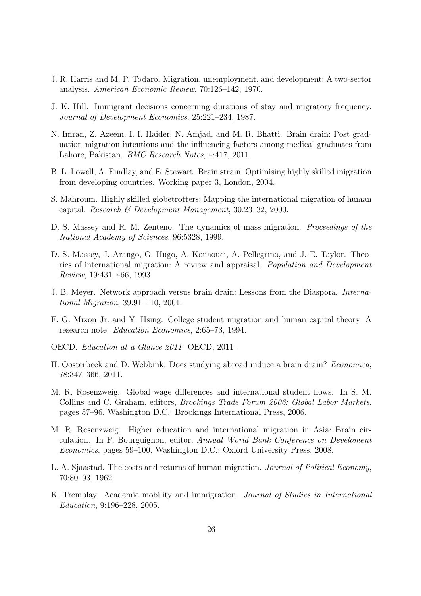- J. R. Harris and M. P. Todaro. Migration, unemployment, and development: A two-sector analysis. *American Economic Review*, 70:126–142, 1970.
- J. K. Hill. Immigrant decisions concerning durations of stay and migratory frequency. *Journal of Development Economics*, 25:221–234, 1987.
- N. Imran, Z. Azeem, I. I. Haider, N. Amjad, and M. R. Bhatti. Brain drain: Post graduation migration intentions and the influencing factors among medical graduates from Lahore, Pakistan. *BMC Research Notes*, 4:417, 2011.
- B. L. Lowell, A. Findlay, and E. Stewart. Brain strain: Optimising highly skilled migration from developing countries. Working paper 3, London, 2004.
- S. Mahroum. Highly skilled globetrotters: Mapping the international migration of human capital. *Research & Development Management*, 30:23–32, 2000.
- D. S. Massey and R. M. Zenteno. The dynamics of mass migration. *Proceedings of the National Academy of Sciences*, 96:5328, 1999.
- D. S. Massey, J. Arango, G. Hugo, A. Kouaouci, A. Pellegrino, and J. E. Taylor. Theories of international migration: A review and appraisal. *Population and Development Review*, 19:431–466, 1993.
- J. B. Meyer. Network approach versus brain drain: Lessons from the Diaspora. *International Migration*, 39:91–110, 2001.
- F. G. Mixon Jr. and Y. Hsing. College student migration and human capital theory: A research note. *Education Economics*, 2:65–73, 1994.
- OECD. *Education at a Glance 2011*. OECD, 2011.
- H. Oosterbeek and D. Webbink. Does studying abroad induce a brain drain? *Economica*, 78:347–366, 2011.
- M. R. Rosenzweig. Global wage differences and international student flows. In S. M. Collins and C. Graham, editors, *Brookings Trade Forum 2006: Global Labor Markets*, pages 57–96. Washington D.C.: Brookings International Press, 2006.
- M. R. Rosenzweig. Higher education and international migration in Asia: Brain circulation. In F. Bourguignon, editor, *Annual World Bank Conference on Develoment Economics*, pages 59–100. Washington D.C.: Oxford University Press, 2008.
- L. A. Sjaastad. The costs and returns of human migration. *Journal of Political Economy*, 70:80–93, 1962.
- K. Tremblay. Academic mobility and immigration. *Journal of Studies in International Education*, 9:196–228, 2005.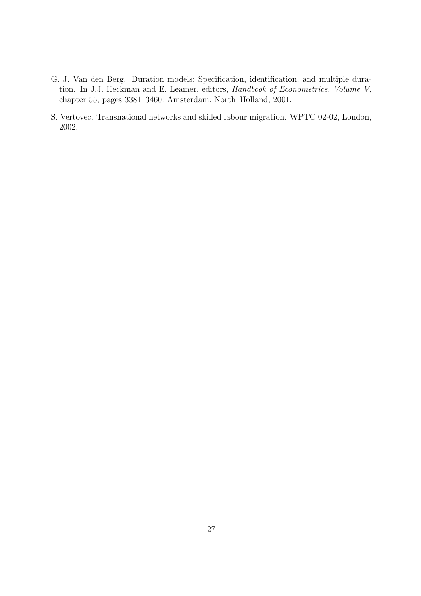- G. J. Van den Berg. Duration models: Specification, identification, and multiple duration. In J.J. Heckman and E. Leamer, editors, *Handbook of Econometrics, Volume V*, chapter 55, pages 3381–3460. Amsterdam: North–Holland, 2001.
- S. Vertovec. Transnational networks and skilled labour migration. WPTC 02-02, London, 2002.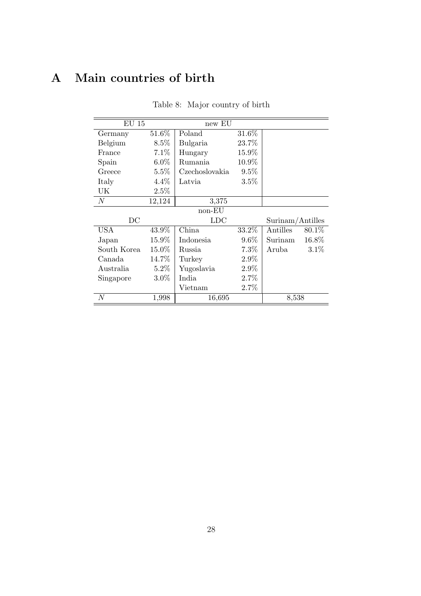## **A Main countries of birth**

| $EU$ 15          |          | new EU         |                  |          |        |  |  |  |
|------------------|----------|----------------|------------------|----------|--------|--|--|--|
| Germany          | $51.6\%$ | Poland         | $31.6\%$         |          |        |  |  |  |
| Belgium          | $8.5\%$  | Bulgaria       | 23.7%            |          |        |  |  |  |
| France           | $7.1\%$  | Hungary        | 15.9%            |          |        |  |  |  |
| Spain            | $6.0\%$  | Rumania        | 10.9%            |          |        |  |  |  |
| Greece           | $5.5\%$  | Czechoslovakia | $9.5\%$          |          |        |  |  |  |
| Italy            | $4.4\%$  | Latvia         | 3.5%             |          |        |  |  |  |
| UK               | 2.5%     |                |                  |          |        |  |  |  |
| $\boldsymbol{N}$ | 12,124   | 3,375          |                  |          |        |  |  |  |
| non-EU           |          |                |                  |          |        |  |  |  |
| DC               |          | <b>LDC</b>     | Surinam/Antilles |          |        |  |  |  |
| USA              | 43.9%    | China          | $33.2\%$         | Antilles | 80.1\% |  |  |  |
| Japan            | $15.9\%$ | Indonesia      | $9.6\%$          | Surinam  | 16.8%  |  |  |  |
| South Korea      | 15.0%    | Russia         | 7.3%             | Aruba    | 3.1%   |  |  |  |
| Canada           | 14.7%    | Turkey         | $2.9\%$          |          |        |  |  |  |
| Australia        | $5.2\%$  | Yugoslavia     | $2.9\%$          |          |        |  |  |  |
| Singapore        | $3.0\%$  | India          | 2.7%             |          |        |  |  |  |
|                  |          | Vietnam        | 2.7%             |          |        |  |  |  |
| $\boldsymbol{N}$ | 1,998    | 16,695         |                  | 8,538    |        |  |  |  |

Table 8: Major country of birth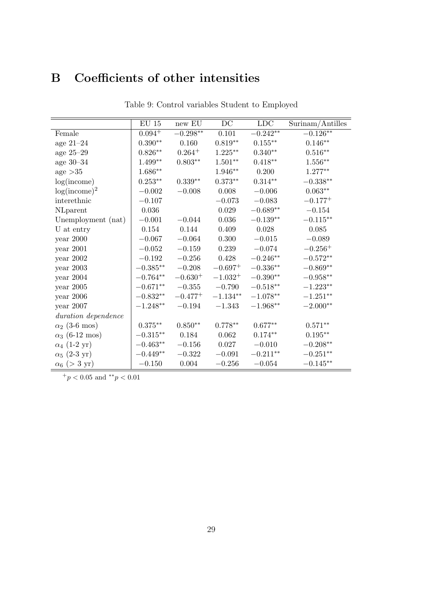## **B Coefficients of other intensities**

|                       | $EU$ 15             | new EU       | DC           | <b>LDC</b>         | Surinam/Antilles    |
|-----------------------|---------------------|--------------|--------------|--------------------|---------------------|
| Female                | $0.094^{+}$         | $-0.298**$   | 0.101        | $-0.242**$         | $-0.126***$         |
| age $21-24$           | $0.390**$           | 0.160        | $0.819**$    | $0.155***$         | $0.146^{\ast\ast}$  |
| age $25-29$           | $0.826^{\ast\ast}$  | $0.264^{+}$  | $1.225***$   | $0.340**$          | $0.516^{\ast\ast}$  |
| age $30-34$           | $1.499^{\ast\ast}$  | $0.803**$    | $1.501**$    | $0.418**$          | $1.556^{\ast\ast}$  |
| age $>35$             | $1.686**$           |              | $1.946**$    | 0.200              | $1.277**$           |
| log(income)           | $0.253**$           | $0.339**$    | $0.373**$    | $0.314**$          | $-0.338**$          |
| $log(income)^2$       | $-0.002$            | $-0.008$     | 0.008        | $-0.006$           | $0.063^{\ast\ast}$  |
| interethnic           | $-0.107$            |              | $-0.073$     | $-0.083$           | $-0.177^{+}$        |
| NLparent              | 0.036               |              | $\,0.029\,$  | $-0.689**$         | $-0.154$            |
| Unemployment (nat)    | $-0.001$            | $-0.044$     | 0.036        | $-0.139**$         | $-0.115**$          |
| U at entry            | 0.154               | 0.144        | 0.409        | 0.028              | 0.085               |
| $year\ 2000$          | $-0.067$            | $-0.064$     | 0.300        | $-0.015$           | $-0.089$            |
| year $2001$           | $-0.052$            | $-0.159$     | 0.239        | $-0.074$           | $-0.256+$           |
| year $2002$           | $-0.192$            | $-0.256$     | 0.428        | $-0.246**$         | $-0.572**$          |
| year $2003\,$         | $-0.385**$          | $-0.208$     | $-0.697^{+}$ | $-0.336**$         | $-0.869^{\ast\ast}$ |
| year $2004$           | $-0.764**$          | $-0.630^{+}$ | $-1.032^{+}$ | $-0.390**$         | $-0.958^{\ast\ast}$ |
| year $2005$           | $-0.671**$          | $-0.355$     | $-0.790$     | $-0.518**$         | $-1.223**$          |
| $year\ 2006$          | $-0.832**$          | $-0.477^{+}$ | $-1.134**$   | $-1.078**$         | $-1.251^{\ast\ast}$ |
| year 2007             | $-1.248**$          | $-0.194$     | $-1.343$     | $-1.968**$         | $-2.000^{\ast\ast}$ |
| duration dependence   |                     |              |              |                    |                     |
| $\alpha_2$ (3-6 mos)  | $0.375^{\ast\ast}$  | $0.850**$    | $0.778**$    | $0.677^{\ast\ast}$ | $0.571^{\ast\ast}$  |
| $\alpha_3$ (6-12 mos) | $-0.315^{\ast\ast}$ | 0.184        | 0.062        | $0.174**$          | $0.195^{\ast\ast}$  |
| $\alpha_4$ (1-2 yr)   | $-0.463**$          | $-0.156$     | 0.027        | $-0.010$           | $-0.208^{\ast\ast}$ |
| $\alpha_5$ (2-3 yr)   | $-0.449**$          | $-0.322$     | $-0.091$     | $-0.211**$         | $-0.251^{\ast\ast}$ |
| $\alpha_6$ (> 3 yr)   | $-0.150$            | 0.004        | $-0.256$     | $-0.054$           | $-0.145**$          |

Table 9: Control variables Student to Employed

<sup>+</sup>*p <* 0*.*05 and *∗∗p <* 0*.*01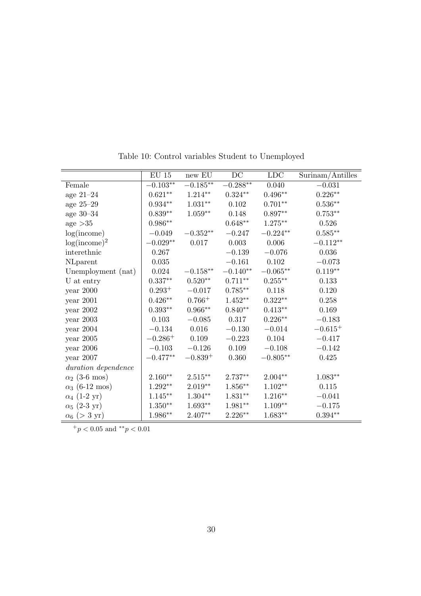|                       | $\mathrm{EU}$ 15   | $\,\mathrm{new}$ EU | DC                 | <b>LDC</b> | Surinam/Antilles   |
|-----------------------|--------------------|---------------------|--------------------|------------|--------------------|
| Female                | $-0.103**$         | $-0.185**$          | $-0.288**$         | 0.040      | $-0.031$           |
| age $21-24$           | $0.621**$          | $1.214**$           | $0.324**$          | $0.496**$  | $0.226^{\ast\ast}$ |
| age $25-29$           | $0.934^{\ast\ast}$ | $1.031**$           | 0.102              | $0.701**$  | $0.536**$          |
| age $30-34$           | $0.839**$          | $1.059**$           | 0.148              | $0.897**$  | $0.753**$          |
| age >35               | $0.986**$          |                     | $0.648**$          | $1.275***$ | 0.526              |
| log(income)           | $-0.049$           | $-0.352**$          | $-0.247$           | $-0.224**$ | $0.585**$          |
| $log(income)^2$       | $-0.029**$         | 0.017               | 0.003              | 0.006      | $-0.112**$         |
| interethnic           | 0.267              |                     | $-0.139$           | $-0.076$   | 0.036              |
| NLparent              | 0.035              |                     | $-0.161$           | 0.102      | $-0.073$           |
| Unemployment (nat)    | 0.024              | $-0.158**$          | $-0.140**$         | $-0.065**$ | $0.119**$          |
| U at entry            | $0.337**$          | $0.520**$           | $0.711**$          | $0.255***$ | 0.133              |
| $year\ 2000$          | $0.293^{+}$        | $-0.017$            | $0.785**$          | 0.118      | 0.120              |
| year 2001             | $0.426**$          | $0.766 +$           | $1.452**$          | $0.322**$  | 0.258              |
| year $2002$           | $0.393**$          | $0.966**$           | $0.840**$          | $0.413**$  | 0.169              |
| year $2003\,$         | 0.103              | $-0.085$            | 0.317              | $0.226**$  | $-0.183$           |
| year $2004$           | $-0.134$           | 0.016               | $-0.130$           | $-0.014$   | $-0.615^{+}$       |
| year $2005$           | $-0.286^{+}$       | 0.109               | $-0.223$           | 0.104      | $-0.417$           |
| year $2006\,$         | $-0.103$           | $-0.126$            | 0.109              | $-0.108$   | $-0.142$           |
| year $2007$           | $-0.477**$         | $-0.839+$           | 0.360              | $-0.805**$ | 0.425              |
| duration dependence   |                    |                     |                    |            |                    |
| $\alpha_2$ (3-6 mos)  | $2.160**$          | $2.515**$           | $2.737**$          | $2.004**$  | $1.083**$          |
| $\alpha_3$ (6-12 mos) | $1.292**$          | $2.019**$           | $1.856^{\ast\ast}$ | $1.102**$  | 0.115              |
| $\alpha_4$ (1-2 yr)   | $1.145***$         | $1.304**$           | $1.831**$          | $1.216**$  | $-0.041$           |
| $\alpha_5$ (2-3 yr)   | $1.350^{\ast\ast}$ | $1.693**$           | $1.981**$          | $1.109**$  | $-0.175$           |
| $\alpha_6$ (> 3 yr)   | 1.986**            | $2.407**$           | $2.226***$         | $1.683**$  | $0.394**$          |

Table 10: Control variables Student to Unemployed

<sup>+</sup>*p <* 0*.*05 and *∗∗p <* 0*.*01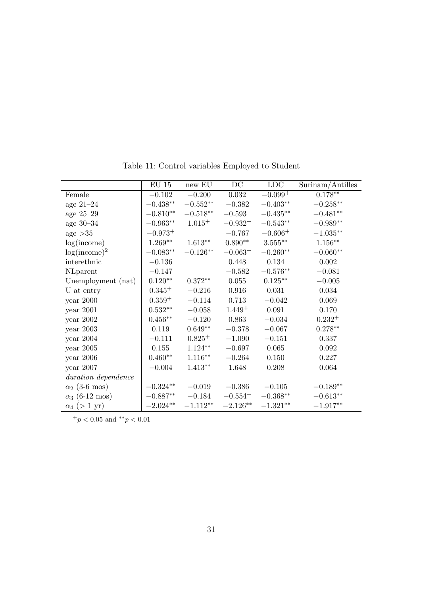|                       | $\mathrm{EU}$ 15    | new EU      | $\operatorname{DC}$ | LDC          | Surinam/Antilles    |
|-----------------------|---------------------|-------------|---------------------|--------------|---------------------|
| Female                | $-0.102$            | $-0.200$    | 0.032               | $-0.099^{+}$ | $0.178**$           |
| age $21-24$           | $-0.438^{\ast\ast}$ | $-0.552**$  | $-0.382$            | $-0.403**$   | $-0.258**$          |
| age $25-29$           | $-0.810^{\ast\ast}$ | $-0.518**$  | $-0.593^{+}$        | $-0.435**$   | $-0.481**$          |
| age $30-34$           | $-0.963**$          | $1.015^{+}$ | $-0.932^{+}$        | $-0.543**$   | $-0.989**$          |
| age $>35$             | $-0.973^{+}$        |             | $-0.767$            | $-0.606+$    | $-1.035**$          |
| log(income)           | $1.269**$           | $1.613**$   | $0.890**$           | $3.555***$   | $1.156**$           |
| $log(income)^2$       | $-0.083**$          | $-0.126**$  | $-0.063^{+}$        | $-0.260**$   | $-0.060**$          |
| interethnic           | $-0.136$            |             | 0.448               | 0.134        | 0.002               |
| NLparent              | $-0.147$            |             | $-0.582$            | $-0.576**$   | $-0.081$            |
| Unemployment (nat)    | $0.120**$           | $0.372**$   | 0.055               | $0.125***$   | $-0.005$            |
| U at entry            | $0.345^{+}$         | $-0.216$    | 0.916               | 0.031        | 0.034               |
| year 2000             | $0.359^{+}$         | $-0.114$    | 0.713               | $-0.042$     | 0.069               |
| year $2001\,$         | $0.532**$           | $-0.058$    | $1.449+$            | 0.091        | 0.170               |
| $year\ 2002$          | $0.456**$           | $-0.120$    | 0.863               | $-0.034$     | $0.232^{+}$         |
| $year$ 2003           | 0.119               | $0.649**$   | $-0.378$            | $-0.067$     | $0.278**$           |
| year $2004$           | $-0.111$            | $0.825^{+}$ | $-1.090$            | $-0.151$     | 0.337               |
| year $2005$           | 0.155               | $1.124**$   | $-0.697$            | 0.065        | 0.092               |
| year $2006$           | $0.460**$           | $1.116**$   | $-0.264$            | 0.150        | 0.227               |
| year 2007             | $-0.004$            | $1.413**$   | 1.648               | 0.208        | 0.064               |
| duration dependence   |                     |             |                     |              |                     |
| $\alpha_2$ (3-6 mos)  | $-0.324**$          | $-0.019$    | $-0.386$            | $-0.105$     | $-0.189**$          |
| $\alpha_3$ (6-12 mos) | $-0.887**$          | $-0.184$    | $-0.554^{+}$        | $-0.368**$   | $-0.613^{\ast\ast}$ |
| $\alpha_4$ (> 1 yr)   | $-2.024**$          | $-1.112**$  | $-2.126**$          | $-1.321**$   | $-1.917**$          |

Table 11: Control variables Employed to Student

 $\frac{+}{p}$  < 0.05 and  $\frac{*}{p}$  < 0.01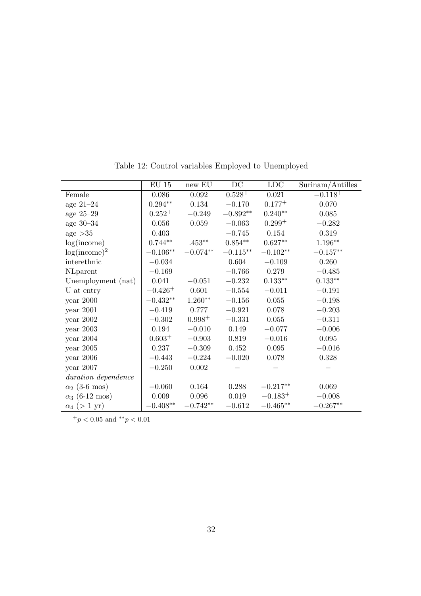|                       | $\mathrm{EU}$ 15    | $\,$ new EU | $\operatorname{DC}$ | ${\rm LDC}$  | Surinam/Antilles   |
|-----------------------|---------------------|-------------|---------------------|--------------|--------------------|
| Female                | 0.086               | 0.092       | $0.528 +$           | 0.021        | $-0.118^{+}$       |
|                       |                     |             |                     | $0.177^{+}$  |                    |
| age $21-24$           | $0.294^{\ast\ast}$  | 0.134       | $-0.170$            |              | 0.070              |
| age $25-29$           | $0.252^{+}$         | $-0.249$    | $-0.892**$          | $0.240**$    | 0.085              |
| age $30-34$           | 0.056               | 0.059       | $-0.063$            | $0.299^{+}$  | $-0.282$           |
| age $>35$             | 0.403               |             | $-0.745$            | 0.154        | 0.319              |
| log(income)           | $0.744**$           | $.453**$    | $0.854**$           | $0.627**$    | $1.196^{\ast\ast}$ |
| $log(income)^2$       | $-0.106**$          | $-0.074**$  | $-0.115**$          | $-0.102**$   | $-0.157**$         |
| interethnic           | $-0.034$            |             | 0.604               | $-0.109$     | 0.260              |
| NLparent              | $-0.169$            |             | $-0.766$            | 0.279        | $-0.485$           |
| Unemployment (nat)    | 0.041               | $-0.051$    | $-0.232$            | $0.133**$    | $0.133**$          |
| U at entry            | $-0.426^{+}$        | 0.601       | $-0.554$            | $-0.011$     | $-0.191$           |
| year $2000$           | $-0.432**$          | $1.260**$   | $-0.156$            | 0.055        | $-0.198$           |
| year $2001$           | $-0.419$            | 0.777       | $-0.921$            | 0.078        | $-0.203$           |
| year $2002$           | $-0.302$            | $0.998 +$   | $-0.331$            | 0.055        | $-0.311$           |
| year $2003$           | 0.194               | $-0.010$    | 0.149               | $-0.077$     | $-0.006$           |
| year 2004             | $0.603^{+}$         | $-0.903$    | 0.819               | $-0.016$     | 0.095              |
| year $2005$           | 0.237               | $-0.309$    | 0.452               | $\,0.095\,$  | $-0.016$           |
| year 2006             | $-0.443$            | $-0.224$    | $-0.020$            | 0.078        | 0.328              |
| year 2007             | $-0.250$            | $0.002\,$   |                     |              |                    |
| duration dependence   |                     |             |                     |              |                    |
| $\alpha_2$ (3-6 mos)  | $-0.060$            | 0.164       | 0.288               | $-0.217**$   | 0.069              |
| $\alpha_3$ (6-12 mos) | 0.009               | 0.096       | 0.019               | $-0.183^{+}$ | $-0.008$           |
| $\alpha_4$ (> 1 yr)   | $-0.408^{\ast\ast}$ | $-0.742**$  | $-0.612$            | $-0.465**$   | $-0.267**$         |

Table 12: Control variables Employed to Unemployed

 $+ p < 0.05$  and  $*^* p < 0.01$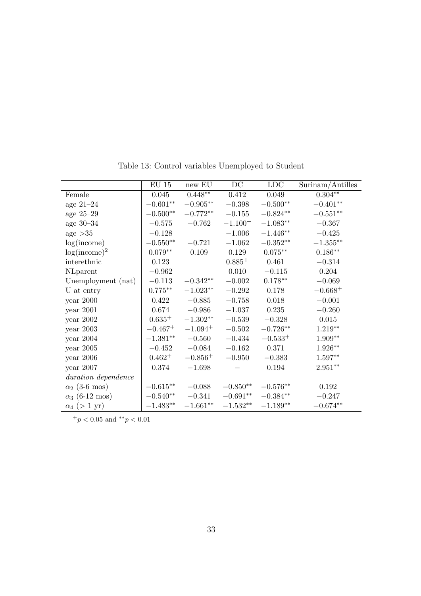|                       | $\mathrm{EU}$ 15 | new EU       | $DC$         | <b>LDC</b>          | Surinam/Antilles |
|-----------------------|------------------|--------------|--------------|---------------------|------------------|
| Female                | 0.045            | $0.448**$    | 0.412        | 0.049               | $0.304**$        |
| age $21-24$           | $-0.601**$       | $-0.905**$   | $-0.398$     | $-0.500^{\ast\ast}$ | $-0.401**$       |
| age $25-29$           | $-0.500**$       | $-0.772**$   | $-0.155$     | $-0.824**$          | $-0.551**$       |
| age $30-34$           | $-0.575$         | $-0.762$     | $-1.100^{+}$ | $-1.083**$          | $-0.367$         |
| age >35               | $-0.128$         |              | $-1.006$     | $-1.446**$          | $-0.425$         |
| log(income)           | $-0.550**$       | $-0.721$     | $-1.062$     | $-0.352**$          | $-1.355**$       |
| $log(income)^2$       | $0.079**$        | 0.109        | 0.129        | $0.075**$           | $0.186**$        |
| interethnic           | 0.123            |              | $0.885^{+}$  | 0.461               | $-0.314$         |
| NLparent              | $-0.962$         |              | 0.010        | $-0.115$            | 0.204            |
| Unemployment (nat)    | $-0.113$         | $-0.342**$   | $-0.002$     | $0.178^{\ast\ast}$  | $-0.069$         |
| U at entry            | $0.775***$       | $-1.023**$   | $-0.292$     | 0.178               | $-0.668^{+}$     |
| year 2000             | 0.422            | $-0.885$     | $-0.758$     | 0.018               | $-0.001$         |
| year 2001             | 0.674            | $-0.986$     | $-1.037$     | 0.235               | $-0.260$         |
| year 2002             | $0.635^{+}$      | $-1.302**$   | $-0.539$     | $-0.328$            | 0.015            |
| year $2003$           | $-0.467^{+}$     | $-1.094^{+}$ | $-0.502$     | $-0.726**$          | $1.219**$        |
| year 2004             | $-1.381**$       | $-0.560$     | $-0.434$     | $-0.533^{+}$        | $1.909**$        |
| year $2005$           | $-0.452$         | $-0.084$     | $-0.162$     | 0.371               | $1.926**$        |
| year 2006             | $0.462^{+}$      | $-0.856^{+}$ | $-0.950$     | $-0.383$            | $1.597**$        |
| year 2007             | 0.374            | $-1.698$     |              | 0.194               | $2.951**$        |
| duration dependence   |                  |              |              |                     |                  |
| $\alpha_2$ (3-6 mos)  | $-0.615**$       | $-0.088$     | $-0.850**$   | $-0.576**$          | 0.192            |
| $\alpha_3$ (6-12 mos) | $-0.540**$       | $-0.341$     | $-0.691**$   | $-0.384**$          | $-0.247$         |
| $\alpha_4$ (> 1 yr)   | $-1.483**$       | $-1.661**$   | $-1.532**$   | $-1.189**$          | $-0.674**$       |

Table 13: Control variables Unemployed to Student

 $+ p < 0.05$  and  $*^* p < 0.01$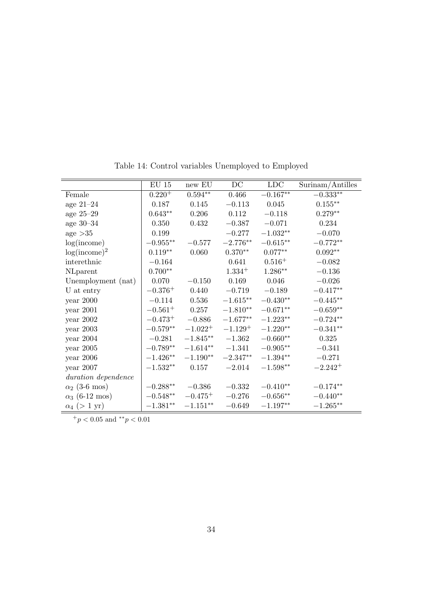|                       | $\mathrm{EU}$ 15 | new EU       | DC         | <b>LDC</b>  |                     |
|-----------------------|------------------|--------------|------------|-------------|---------------------|
|                       |                  |              |            |             | Surinam/Antilles    |
| Female                | $0.220^{+}$      | $0.594**$    | $0.466\,$  | $-0.167**$  | $-0.333**$          |
| age $21-24$           | 0.187            | 0.145        | $-0.113$   | 0.045       | $0.155^{\ast\ast}$  |
| age $25-29$           | $0.643**$        | 0.206        | 0.112      | $-0.118$    | $0.279**$           |
| age $30-34$           | 0.350            | 0.432        | $-0.387$   | $-0.071$    | 0.234               |
| age >35               | 0.199            |              | $-0.277$   | $-1.032**$  | $-0.070$            |
| log(income)           | $-0.955**$       | $-0.577$     | $-2.776**$ | $-0.615**$  | $-0.772**$          |
| $log(income)^2$       | $0.119**$        | 0.060        | $0.370**$  | $0.077**$   | $0.092**$           |
| interethnic           | $-0.164$         |              | 0.641      | $0.516^{+}$ | $-0.082$            |
| NLparent              | $0.700**$        |              | $1.334 +$  | $1.286**$   | $-0.136$            |
| Unemployment (nat)    | 0.070            | $-0.150$     | 0.169      | 0.046       | $-0.026$            |
| U at entry            | $-0.376^{+}$     | 0.440        | $-0.719$   | $-0.189$    | $-0.417**$          |
| $year\ 2000$          | $-0.114$         | 0.536        | $-1.615**$ | $-0.430**$  | $-0.445**$          |
| year $2001$           | $-0.561^{+}$     | 0.257        | $-1.810**$ | $-0.671**$  | $-0.659**$          |
| year $2002$           | $-0.473^{+}$     | $-0.886$     | $-1.677**$ | $-1.223**$  | $-0.724^{\ast\ast}$ |
| year $2003$           | $-0.579**$       | $-1.022^{+}$ | $-1.129+$  | $-1.220**$  | $-0.341**$          |
| year $2004$           | $-0.281$         | $-1.845***$  | $-1.362$   | $-0.660**$  | 0.325               |
| year $2005$           | $-0.789**$       | $-1.614**$   | $-1.341$   | $-0.905**$  | $-0.341$            |
| $year\ 2006$          | $-1.426**$       | $-1.190**$   | $-2.347**$ | $-1.394**$  | $-0.271$            |
| year $2007$           | $-1.532**$       | 0.157        | $-2.014$   | $-1.598**$  | $-2.242+$           |
| duration dependence   |                  |              |            |             |                     |
| $\alpha_2$ (3-6 mos)  | $-0.288**$       | $-0.386$     | $-0.332$   | $-0.410**$  | $-0.174**$          |
| $\alpha_3$ (6-12 mos) | $-0.548**$       | $-0.475^{+}$ | $-0.276$   | $-0.656**$  | $-0.440**$          |
| $\alpha_4$ (> 1 yr)   | $-1.381**$       | $-1.151**$   | $-0.649$   | $-1.197**$  | $-1.265***$         |

Table 14: Control variables Unemployed to Employed

 $+p < 0.05$  and  $*^*p < 0.01$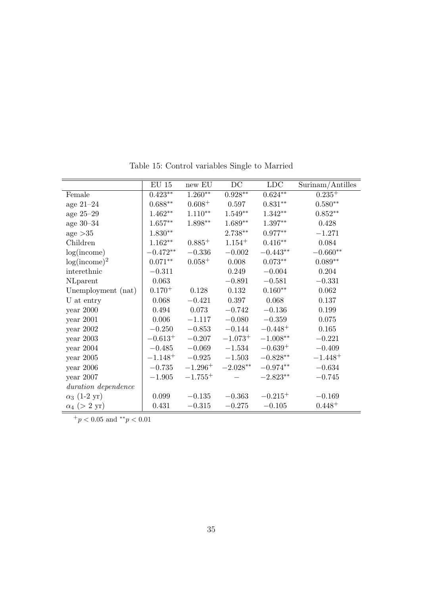|                    |                                            |                                       |                                           | $\overline{\text{Surinam}}$ Antilles |
|--------------------|--------------------------------------------|---------------------------------------|-------------------------------------------|--------------------------------------|
|                    |                                            |                                       |                                           | $0.235^{+}$                          |
|                    |                                            | 0.597                                 |                                           | $0.580**$                            |
| $1.462**$          | $1.110**$                                  |                                       | $1.342**$                                 | $0.852**$                            |
| $1.657**$          | $1.898**$                                  | $1.689**$                             | $1.397**$                                 | 0.428                                |
| $1.830^{\ast\ast}$ |                                            | $2.738**$                             | $0.977**$                                 | $-1.271$                             |
| $1.162**$          | $0.885^{+}$                                | $1.154 +$                             | $0.416^{\ast\ast}$                        | 0.084                                |
| $-0.472**$         | $-0.336$                                   | $-0.002$                              | $-0.443**$                                | $-0.660**$                           |
| $0.071**$          | $0.058^{+}$                                | 0.008                                 | $0.073**$                                 | $0.089**$                            |
| $-0.311$           |                                            | 0.249                                 | $-0.004$                                  | 0.204                                |
| 0.063              |                                            | $-0.891$                              | $-0.581$                                  | $-0.331$                             |
| $0.170^{+}$        | 0.128                                      | 0.132                                 | $0.160**$                                 | 0.062                                |
| 0.068              | $-0.421$                                   | 0.397                                 | 0.068                                     | 0.137                                |
| 0.494              | 0.073                                      | $-0.742$                              | $-0.136$                                  | 0.199                                |
| $0.006\,$          | $-1.117$                                   | $-0.080$                              | $-0.359$                                  | $0.075\,$                            |
| $-0.250$           | $-0.853$                                   | $-0.144$                              | $-0.448 +$                                | 0.165                                |
| $-0.613^{+}$       | $-0.207$                                   | $-1.073^{+}$                          | $-1.008^{\ast\ast}$                       | $-0.221$                             |
| $-0.485$           | $-0.069$                                   | $-1.534$                              | $-0.639^{+}$                              | $-0.409$                             |
| $-1.148^{+}$       | $-0.925$                                   | $-1.503$                              | $-0.828**$                                | $-1.448+$                            |
| $-0.735$           | $-1.296^{+}$                               | $-2.028**$                            | $-0.974**$                                | $-0.634$                             |
| $-1.905$           | $-1.755+$                                  |                                       | $-2.823**$                                | $-0.745$                             |
|                    |                                            |                                       |                                           |                                      |
| 0.099              | $-0.135$                                   | $-0.363$                              | $-0.215^{+}$                              | $-0.169$                             |
| 0.431              | $-0.315$                                   | $-0.275$                              | $-0.105$                                  | $0.448^{+}$                          |
|                    | $\mathrm{EU}$ 15<br>$0.423**$<br>$0.688**$ | $\,$ new EU<br>$1.260**$<br>$0.608 +$ | $\overline{DC}$<br>$0.928**$<br>$1.549**$ | LDC<br>$0.624**$<br>$0.831**$        |

Table 15: Control variables Single to Married

<sup>+</sup>*p <* 0*.*05 and *∗∗p <* 0*.*01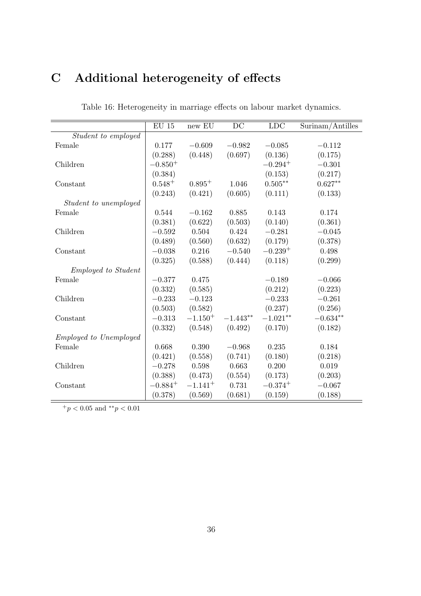# **C Additional heterogeneity of effects**

|                               | $\mathrm{EU}$ 15 | new EU       | DC         | <b>LDC</b>   | Surinam/Antilles |
|-------------------------------|------------------|--------------|------------|--------------|------------------|
| Student to employed           |                  |              |            |              |                  |
| Female                        | 0.177            | $-0.609$     | $-0.982$   | $-0.085$     | $-0.112$         |
|                               | (0.288)          | (0.448)      | (0.697)    | (0.136)      | (0.175)          |
| Children                      | $-0.850^{+}$     |              |            | $-0.294^{+}$ | $-0.301$         |
|                               | (0.384)          |              |            | (0.153)      | (0.217)          |
| Constant                      | $0.548^{+}$      | $0.895^{+}$  | 1.046      | $0.505**$    | $0.627**$        |
|                               | (0.243)          | (0.421)      | (0.605)    | (0.111)      | (0.133)          |
| Student to unemployed         |                  |              |            |              |                  |
| Female                        | 0.544            | $-0.162$     | 0.885      | 0.143        | 0.174            |
|                               | (0.381)          | (0.622)      | (0.503)    | (0.140)      | (0.361)          |
| Children                      | $-0.592$         | 0.504        | 0.424      | $-0.281$     | $-0.045$         |
|                               | (0.489)          | (0.560)      | (0.632)    | (0.179)      | (0.378)          |
| Constant                      | $-0.038$         | 0.216        | $-0.540$   | $-0.239+$    | 0.498            |
|                               | (0.325)          | (0.588)      | (0.444)    | (0.118)      | (0.299)          |
| <i>Employed to Student</i>    |                  |              |            |              |                  |
| Female                        | $-0.377$         | 0.475        |            | $-0.189$     | $-0.066$         |
|                               | (0.332)          | (0.585)      |            | (0.212)      | (0.223)          |
| Children                      | $-0.233$         | $-0.123$     |            | $-0.233$     | $-0.261$         |
|                               | (0.503)          | (0.582)      |            | (0.237)      | (0.256)          |
| Constant                      | $-0.313$         | $-1.150^{+}$ | $-1.443**$ | $-1.021**$   | $-0.634**$       |
|                               | (0.332)          | (0.548)      | (0.492)    | (0.170)      | (0.182)          |
| <i>Employed to Unemployed</i> |                  |              |            |              |                  |
| Female                        | 0.668            | 0.390        | $-0.968$   | 0.235        | 0.184            |
|                               | (0.421)          | (0.558)      | (0.741)    | (0.180)      | (0.218)          |
| Children                      | $-0.278$         | 0.598        | 0.663      | 0.200        | 0.019            |
|                               | (0.388)          | (0.473)      | (0.554)    | (0.173)      | (0.203)          |
| Constant                      | $-0.884+$        | $-1.141^{+}$ | 0.731      | $-0.374+$    | $-0.067$         |
|                               | (0.378)          | (0.569)      | (0.681)    | (0.159)      | (0.188)          |

Table 16: Heterogeneity in marriage effects on labour market dynamics.

 $+ p < 0.05$  and  $*^* p < 0.01$